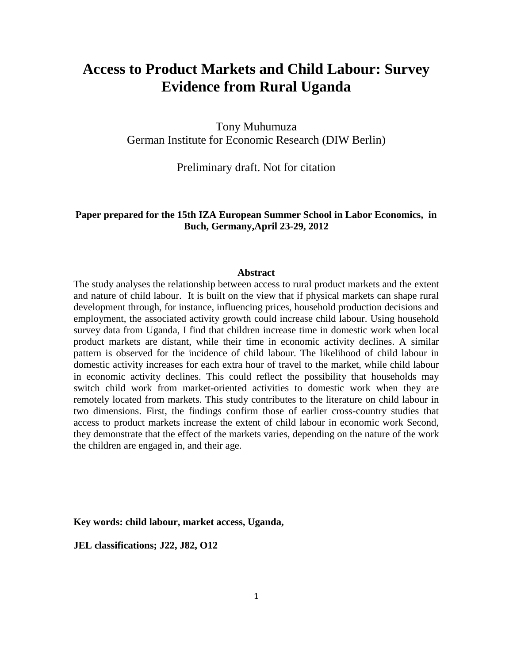# **Access to Product Markets and Child Labour: Survey Evidence from Rural Uganda**

Tony Muhumuza German Institute for Economic Research (DIW Berlin)

Preliminary draft. Not for citation

## **Paper prepared for the 15th IZA European Summer School in Labor Economics, in Buch, Germany,April 23-29, 2012**

#### **Abstract**

The study analyses the relationship between access to rural product markets and the extent and nature of child labour. It is built on the view that if physical markets can shape rural development through, for instance, influencing prices, household production decisions and employment, the associated activity growth could increase child labour. Using household survey data from Uganda, I find that children increase time in domestic work when local product markets are distant, while their time in economic activity declines. A similar pattern is observed for the incidence of child labour. The likelihood of child labour in domestic activity increases for each extra hour of travel to the market, while child labour in economic activity declines. This could reflect the possibility that households may switch child work from market-oriented activities to domestic work when they are remotely located from markets. This study contributes to the literature on child labour in two dimensions. First, the findings confirm those of earlier cross-country studies that access to product markets increase the extent of child labour in economic work Second, they demonstrate that the effect of the markets varies, depending on the nature of the work the children are engaged in, and their age.

**Key words: child labour, market access, Uganda,**

**JEL classifications; J22, J82, O12**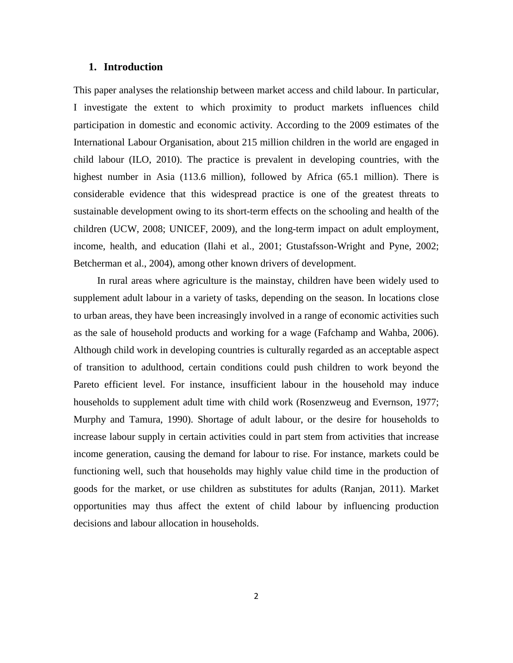#### **1. Introduction**

This paper analyses the relationship between market access and child labour. In particular, I investigate the extent to which proximity to product markets influences child participation in domestic and economic activity. According to the 2009 estimates of the International Labour Organisation, about 215 million children in the world are engaged in child labour (ILO, 2010). The practice is prevalent in developing countries, with the highest number in Asia (113.6 million), followed by Africa (65.1 million). There is considerable evidence that this widespread practice is one of the greatest threats to sustainable development owing to its short-term effects on the schooling and health of the children (UCW, 2008; UNICEF, 2009), and the long-term impact on adult employment, income, health, and education (Ilahi et al., 2001; Gtustafsson-Wright and Pyne, 2002; Betcherman et al., 2004), among other known drivers of development.

In rural areas where agriculture is the mainstay, children have been widely used to supplement adult labour in a variety of tasks, depending on the season. In locations close to urban areas, they have been increasingly involved in a range of economic activities such as the sale of household products and working for a wage (Fafchamp and Wahba, 2006). Although child work in developing countries is culturally regarded as an acceptable aspect of transition to adulthood, certain conditions could push children to work beyond the Pareto efficient level. For instance, insufficient labour in the household may induce households to supplement adult time with child work (Rosenzweug and Evernson, 1977; Murphy and Tamura, 1990). Shortage of adult labour, or the desire for households to increase labour supply in certain activities could in part stem from activities that increase income generation, causing the demand for labour to rise. For instance, markets could be functioning well, such that households may highly value child time in the production of goods for the market, or use children as substitutes for adults (Ranjan, 2011). Market opportunities may thus affect the extent of child labour by influencing production decisions and labour allocation in households.

2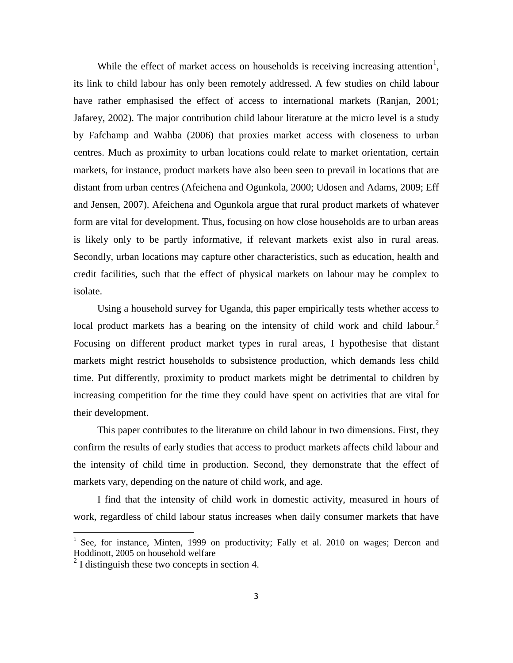While the effect of market access on households is receiving increasing attention<sup>[1](#page-2-0)</sup>, its link to child labour has only been remotely addressed. A few studies on child labour have rather emphasised the effect of access to international markets (Ranjan, 2001; Jafarey, 2002). The major contribution child labour literature at the micro level is a study by Fafchamp and Wahba (2006) that proxies market access with closeness to urban centres. Much as proximity to urban locations could relate to market orientation, certain markets, for instance, product markets have also been seen to prevail in locations that are distant from urban centres (Afeichena and Ogunkola, 2000; Udosen and Adams, 2009; Eff and Jensen, 2007). Afeichena and Ogunkola argue that rural product markets of whatever form are vital for development. Thus, focusing on how close households are to urban areas is likely only to be partly informative, if relevant markets exist also in rural areas. Secondly, urban locations may capture other characteristics, such as education, health and credit facilities, such that the effect of physical markets on labour may be complex to isolate.

Using a household survey for Uganda, this paper empirically tests whether access to local product markets has a bearing on the intensity of child work and child labour.<sup>[2](#page-2-1)</sup> Focusing on different product market types in rural areas, I hypothesise that distant markets might restrict households to subsistence production, which demands less child time. Put differently, proximity to product markets might be detrimental to children by increasing competition for the time they could have spent on activities that are vital for their development.

This paper contributes to the literature on child labour in two dimensions. First, they confirm the results of early studies that access to product markets affects child labour and the intensity of child time in production. Second, they demonstrate that the effect of markets vary, depending on the nature of child work, and age.

I find that the intensity of child work in domestic activity, measured in hours of work, regardless of child labour status increases when daily consumer markets that have

<span id="page-2-0"></span> $1$  See, for instance, Minten, 1999 on productivity; Fally et al. 2010 on wages; Dercon and Hoddinott, 2005 on household welfare

<span id="page-2-1"></span> $2<sup>2</sup>$  I distinguish these two concepts in section 4.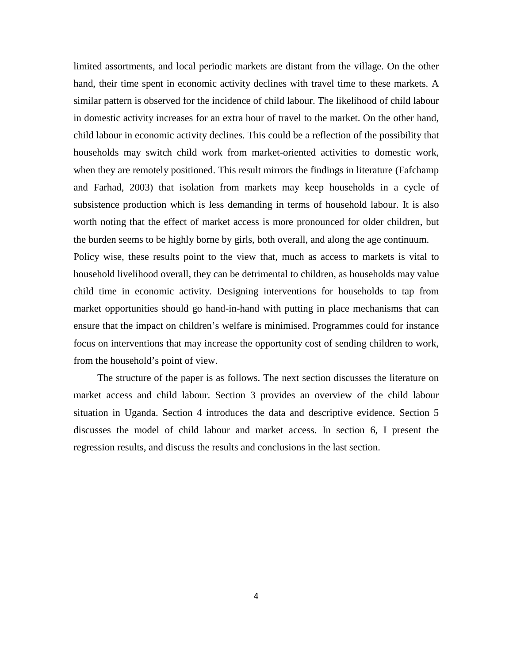limited assortments, and local periodic markets are distant from the village. On the other hand, their time spent in economic activity declines with travel time to these markets. A similar pattern is observed for the incidence of child labour. The likelihood of child labour in domestic activity increases for an extra hour of travel to the market. On the other hand, child labour in economic activity declines. This could be a reflection of the possibility that households may switch child work from market-oriented activities to domestic work, when they are remotely positioned. This result mirrors the findings in literature (Fafchamp and Farhad, 2003) that isolation from markets may keep households in a cycle of subsistence production which is less demanding in terms of household labour. It is also worth noting that the effect of market access is more pronounced for older children, but the burden seems to be highly borne by girls, both overall, and along the age continuum. Policy wise, these results point to the view that, much as access to markets is vital to household livelihood overall, they can be detrimental to children, as households may value child time in economic activity. Designing interventions for households to tap from market opportunities should go hand-in-hand with putting in place mechanisms that can ensure that the impact on children's welfare is minimised. Programmes could for instance focus on interventions that may increase the opportunity cost of sending children to work, from the household's point of view.

The structure of the paper is as follows. The next section discusses the literature on market access and child labour. Section 3 provides an overview of the child labour situation in Uganda. Section 4 introduces the data and descriptive evidence. Section 5 discusses the model of child labour and market access. In section 6, I present the regression results, and discuss the results and conclusions in the last section.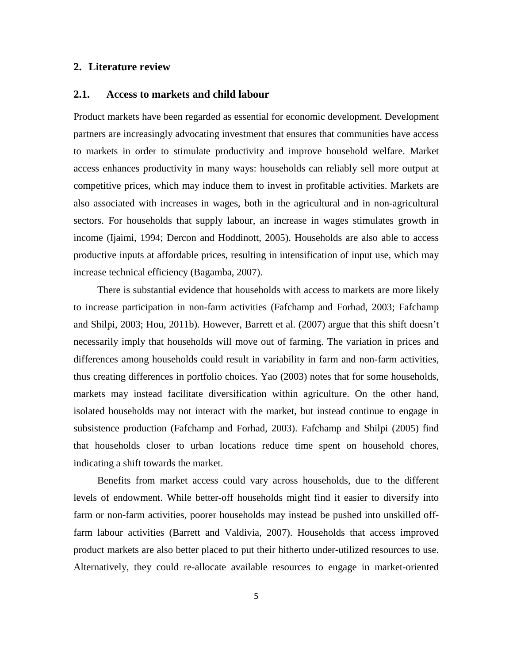## **2. Literature review**

#### **2.1. Access to markets and child labour**

Product markets have been regarded as essential for economic development. Development partners are increasingly advocating investment that ensures that communities have access to markets in order to stimulate productivity and improve household welfare. Market access enhances productivity in many ways: households can reliably sell more output at competitive prices, which may induce them to invest in profitable activities. Markets are also associated with increases in wages, both in the agricultural and in non-agricultural sectors. For households that supply labour, an increase in wages stimulates growth in income (Ijaimi, 1994; Dercon and Hoddinott, 2005). Households are also able to access productive inputs at affordable prices, resulting in intensification of input use, which may increase technical efficiency (Bagamba, 2007).

There is substantial evidence that households with access to markets are more likely to increase participation in non-farm activities (Fafchamp and Forhad, 2003; Fafchamp and Shilpi, 2003; Hou, 2011b). However, Barrett et al. (2007) argue that this shift doesn't necessarily imply that households will move out of farming. The variation in prices and differences among households could result in variability in farm and non-farm activities, thus creating differences in portfolio choices. Yao (2003) notes that for some households, markets may instead facilitate diversification within agriculture. On the other hand, isolated households may not interact with the market, but instead continue to engage in subsistence production (Fafchamp and Forhad, 2003). Fafchamp and Shilpi (2005) find that households closer to urban locations reduce time spent on household chores, indicating a shift towards the market.

Benefits from market access could vary across households, due to the different levels of endowment. While better-off households might find it easier to diversify into farm or non-farm activities, poorer households may instead be pushed into unskilled offfarm labour activities (Barrett and Valdivia, 2007). Households that access improved product markets are also better placed to put their hitherto under-utilized resources to use. Alternatively, they could re-allocate available resources to engage in market-oriented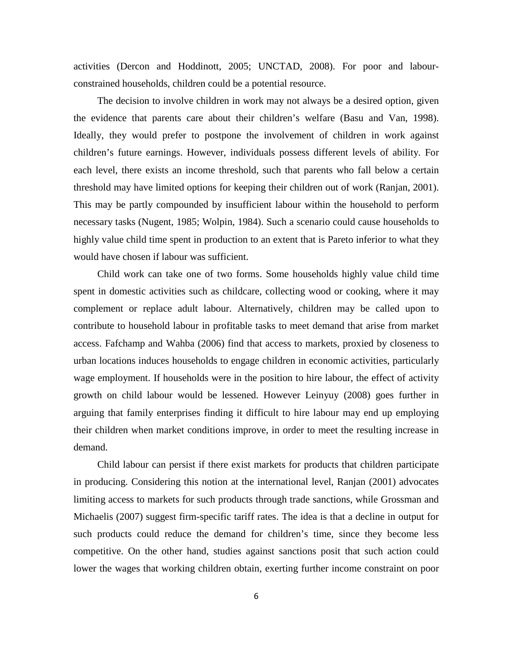activities (Dercon and Hoddinott, 2005; UNCTAD, 2008). For poor and labourconstrained households, children could be a potential resource.

The decision to involve children in work may not always be a desired option, given the evidence that parents care about their children's welfare (Basu and Van, 1998). Ideally, they would prefer to postpone the involvement of children in work against children's future earnings. However, individuals possess different levels of ability. For each level, there exists an income threshold, such that parents who fall below a certain threshold may have limited options for keeping their children out of work (Ranjan, 2001). This may be partly compounded by insufficient labour within the household to perform necessary tasks (Nugent, 1985; Wolpin, 1984). Such a scenario could cause households to highly value child time spent in production to an extent that is Pareto inferior to what they would have chosen if labour was sufficient.

Child work can take one of two forms. Some households highly value child time spent in domestic activities such as childcare, collecting wood or cooking, where it may complement or replace adult labour. Alternatively, children may be called upon to contribute to household labour in profitable tasks to meet demand that arise from market access. Fafchamp and Wahba (2006) find that access to markets, proxied by closeness to urban locations induces households to engage children in economic activities, particularly wage employment. If households were in the position to hire labour, the effect of activity growth on child labour would be lessened. However Leinyuy (2008) goes further in arguing that family enterprises finding it difficult to hire labour may end up employing their children when market conditions improve, in order to meet the resulting increase in demand.

Child labour can persist if there exist markets for products that children participate in producing. Considering this notion at the international level, Ranjan (2001) advocates limiting access to markets for such products through trade sanctions, while Grossman and Michaelis (2007) suggest firm-specific tariff rates. The idea is that a decline in output for such products could reduce the demand for children's time, since they become less competitive. On the other hand, studies against sanctions posit that such action could lower the wages that working children obtain, exerting further income constraint on poor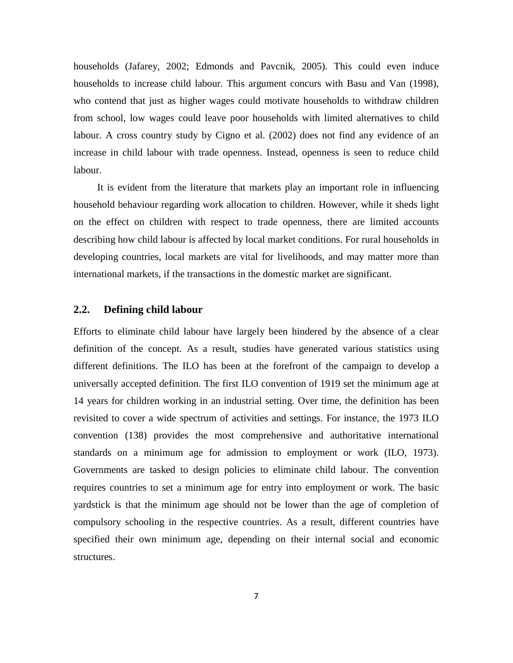households (Jafarey, 2002; Edmonds and Pavcnik, 2005). This could even induce households to increase child labour. This argument concurs with Basu and Van (1998), who contend that just as higher wages could motivate households to withdraw children from school, low wages could leave poor households with limited alternatives to child labour. A cross country study by Cigno et al. (2002) does not find any evidence of an increase in child labour with trade openness. Instead, openness is seen to reduce child labour.

It is evident from the literature that markets play an important role in influencing household behaviour regarding work allocation to children. However, while it sheds light on the effect on children with respect to trade openness, there are limited accounts describing how child labour is affected by local market conditions. For rural households in developing countries, local markets are vital for livelihoods, and may matter more than international markets, if the transactions in the domestic market are significant.

## **2.2. Defining child labour**

Efforts to eliminate child labour have largely been hindered by the absence of a clear definition of the concept. As a result, studies have generated various statistics using different definitions. The ILO has been at the forefront of the campaign to develop a universally accepted definition. The first ILO convention of 1919 set the minimum age at 14 years for children working in an industrial setting. Over time, the definition has been revisited to cover a wide spectrum of activities and settings. For instance, the 1973 ILO convention (138) provides the most comprehensive and authoritative international standards on a minimum age for admission to employment or work (ILO, 1973). Governments are tasked to design policies to eliminate child labour. The convention requires countries to set a minimum age for entry into employment or work. The basic yardstick is that the minimum age should not be lower than the age of completion of compulsory schooling in the respective countries. As a result, different countries have specified their own minimum age, depending on their internal social and economic structures.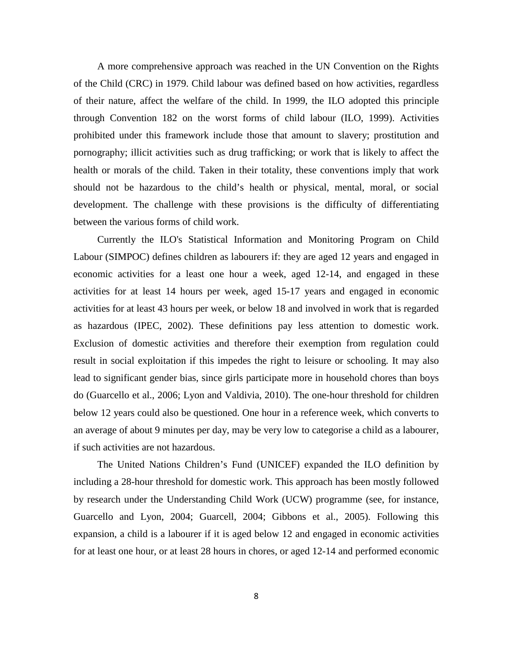A more comprehensive approach was reached in the UN Convention on the Rights of the Child (CRC) in 1979. Child labour was defined based on how activities, regardless of their nature, affect the welfare of the child. In 1999, the ILO adopted this principle through Convention 182 on the worst forms of child labour (ILO, 1999). Activities prohibited under this framework include those that amount to slavery; prostitution and pornography; illicit activities such as drug trafficking; or work that is likely to affect the health or morals of the child. Taken in their totality, these conventions imply that work should not be hazardous to the child's health or physical, mental, moral, or social development. The challenge with these provisions is the difficulty of differentiating between the various forms of child work.

Currently the ILO's Statistical Information and Monitoring Program on Child Labour (SIMPOC) defines children as labourers if: they are aged 12 years and engaged in economic activities for a least one hour a week, aged 12-14, and engaged in these activities for at least 14 hours per week, aged 15-17 years and engaged in economic activities for at least 43 hours per week, or below 18 and involved in work that is regarded as hazardous (IPEC, 2002). These definitions pay less attention to domestic work. Exclusion of domestic activities and therefore their exemption from regulation could result in social exploitation if this impedes the right to leisure or schooling. It may also lead to significant gender bias, since girls participate more in household chores than boys do (Guarcello et al., 2006; Lyon and Valdivia, 2010). The one-hour threshold for children below 12 years could also be questioned. One hour in a reference week, which converts to an average of about 9 minutes per day, may be very low to categorise a child as a labourer, if such activities are not hazardous.

The United Nations Children's Fund (UNICEF) expanded the ILO definition by including a 28-hour threshold for domestic work. This approach has been mostly followed by research under the Understanding Child Work (UCW) programme (see, for instance, Guarcello and Lyon, 2004; Guarcell, 2004; Gibbons et al., 2005). Following this expansion, a child is a labourer if it is aged below 12 and engaged in economic activities for at least one hour, or at least 28 hours in chores, or aged 12-14 and performed economic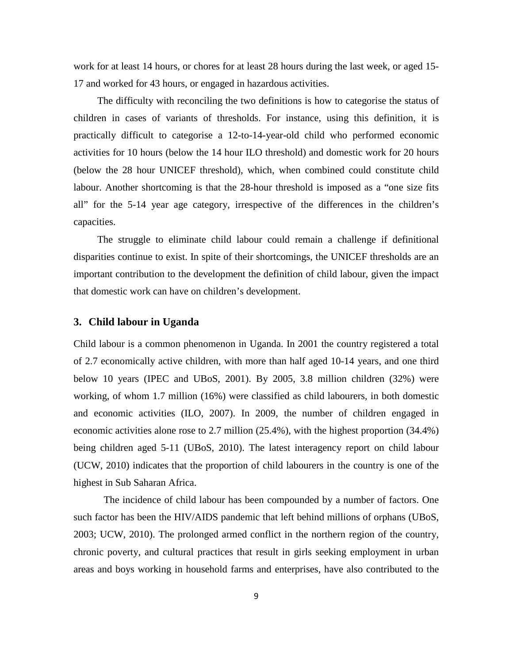work for at least 14 hours, or chores for at least 28 hours during the last week, or aged 15- 17 and worked for 43 hours, or engaged in hazardous activities.

The difficulty with reconciling the two definitions is how to categorise the status of children in cases of variants of thresholds. For instance, using this definition, it is practically difficult to categorise a 12-to-14-year-old child who performed economic activities for 10 hours (below the 14 hour ILO threshold) and domestic work for 20 hours (below the 28 hour UNICEF threshold), which, when combined could constitute child labour. Another shortcoming is that the 28-hour threshold is imposed as a "one size fits all" for the 5-14 year age category, irrespective of the differences in the children's capacities.

The struggle to eliminate child labour could remain a challenge if definitional disparities continue to exist. In spite of their shortcomings, the UNICEF thresholds are an important contribution to the development the definition of child labour, given the impact that domestic work can have on children's development.

#### **3. Child labour in Uganda**

Child labour is a common phenomenon in Uganda. In 2001 the country registered a total of 2.7 economically active children, with more than half aged 10-14 years, and one third below 10 years (IPEC and UBoS, 2001). By 2005, 3.8 million children (32%) were working, of whom 1.7 million (16%) were classified as child labourers, in both domestic and economic activities (ILO, 2007). In 2009, the number of children engaged in economic activities alone rose to 2.7 million (25.4%), with the highest proportion (34.4%) being children aged 5-11 (UBoS, 2010). The latest interagency report on child labour (UCW, 2010) indicates that the proportion of child labourers in the country is one of the highest in Sub Saharan Africa.

The incidence of child labour has been compounded by a number of factors. One such factor has been the HIV/AIDS pandemic that left behind millions of orphans (UBoS, 2003; UCW, 2010). The prolonged armed conflict in the northern region of the country, chronic poverty, and cultural practices that result in girls seeking employment in urban areas and boys working in household farms and enterprises, have also contributed to the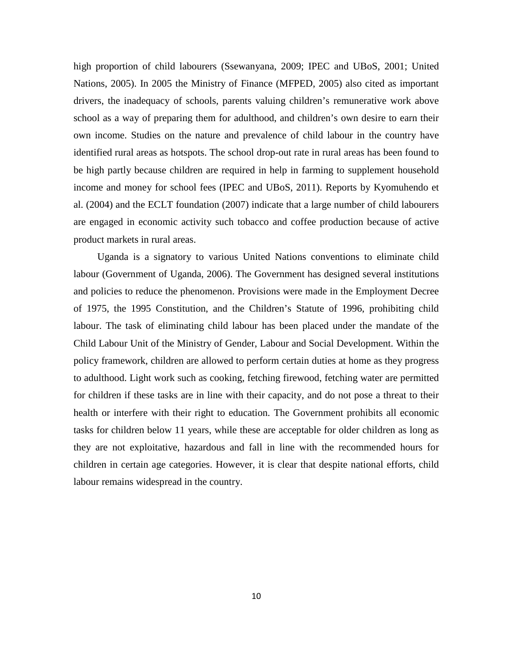high proportion of child labourers (Ssewanyana, 2009; IPEC and UBoS, 2001; United Nations, 2005). In 2005 the Ministry of Finance (MFPED, 2005) also cited as important drivers, the inadequacy of schools, parents valuing children's remunerative work above school as a way of preparing them for adulthood, and children's own desire to earn their own income. Studies on the nature and prevalence of child labour in the country have identified rural areas as hotspots. The school drop-out rate in rural areas has been found to be high partly because children are required in help in farming to supplement household income and money for school fees (IPEC and UBoS, 2011). Reports by Kyomuhendo et al. (2004) and the ECLT foundation (2007) indicate that a large number of child labourers are engaged in economic activity such tobacco and coffee production because of active product markets in rural areas.

Uganda is a signatory to various United Nations conventions to eliminate child labour (Government of Uganda, 2006). The Government has designed several institutions and policies to reduce the phenomenon. Provisions were made in the Employment Decree of 1975, the 1995 Constitution, and the Children's Statute of 1996, prohibiting child labour. The task of eliminating child labour has been placed under the mandate of the Child Labour Unit of the Ministry of Gender, Labour and Social Development. Within the policy framework, children are allowed to perform certain duties at home as they progress to adulthood. Light work such as cooking, fetching firewood, fetching water are permitted for children if these tasks are in line with their capacity, and do not pose a threat to their health or interfere with their right to education. The Government prohibits all economic tasks for children below 11 years, while these are acceptable for older children as long as they are not exploitative, hazardous and fall in line with the recommended hours for children in certain age categories. However, it is clear that despite national efforts, child labour remains widespread in the country.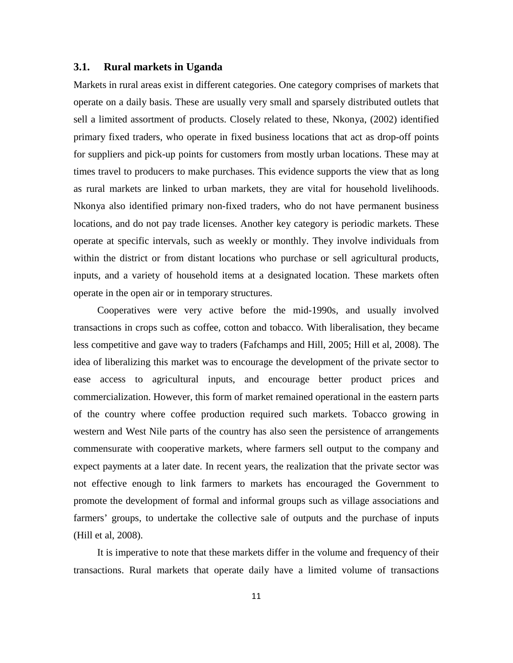#### **3.1. Rural markets in Uganda**

Markets in rural areas exist in different categories. One category comprises of markets that operate on a daily basis. These are usually very small and sparsely distributed outlets that sell a limited assortment of products. Closely related to these, Nkonya, (2002) identified primary fixed traders, who operate in fixed business locations that act as drop-off points for suppliers and pick-up points for customers from mostly urban locations. These may at times travel to producers to make purchases. This evidence supports the view that as long as rural markets are linked to urban markets, they are vital for household livelihoods. Nkonya also identified primary non-fixed traders, who do not have permanent business locations, and do not pay trade licenses. Another key category is periodic markets. These operate at specific intervals, such as weekly or monthly. They involve individuals from within the district or from distant locations who purchase or sell agricultural products, inputs, and a variety of household items at a designated location. These markets often operate in the open air or in temporary structures.

Cooperatives were very active before the mid-1990s, and usually involved transactions in crops such as coffee, cotton and tobacco. With liberalisation, they became less competitive and gave way to traders (Fafchamps and Hill, 2005; Hill et al, 2008). The idea of liberalizing this market was to encourage the development of the private sector to ease access to agricultural inputs, and encourage better product prices and commercialization. However, this form of market remained operational in the eastern parts of the country where coffee production required such markets. Tobacco growing in western and West Nile parts of the country has also seen the persistence of arrangements commensurate with cooperative markets, where farmers sell output to the company and expect payments at a later date. In recent years, the realization that the private sector was not effective enough to link farmers to markets has encouraged the Government to promote the development of formal and informal groups such as village associations and farmers' groups, to undertake the collective sale of outputs and the purchase of inputs (Hill et al, 2008).

It is imperative to note that these markets differ in the volume and frequency of their transactions. Rural markets that operate daily have a limited volume of transactions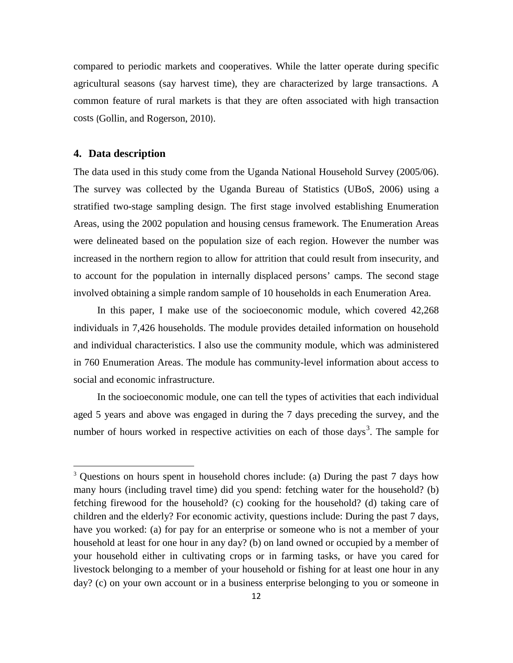compared to periodic markets and cooperatives. While the latter operate during specific agricultural seasons (say harvest time), they are characterized by large transactions. A common feature of rural markets is that they are often associated with high transaction costs (Gollin, and Rogerson, 2010).

#### **4. Data description**

l

The data used in this study come from the Uganda National Household Survey (2005/06). The survey was collected by the Uganda Bureau of Statistics (UBoS, 2006) using a stratified two-stage sampling design. The first stage involved establishing Enumeration Areas, using the 2002 population and housing census framework. The Enumeration Areas were delineated based on the population size of each region. However the number was increased in the northern region to allow for attrition that could result from insecurity, and to account for the population in internally displaced persons' camps. The second stage involved obtaining a simple random sample of 10 households in each Enumeration Area.

In this paper, I make use of the socioeconomic module, which covered 42,268 individuals in 7,426 households. The module provides detailed information on household and individual characteristics. I also use the community module, which was administered in 760 Enumeration Areas. The module has community-level information about access to social and economic infrastructure.

In the socioeconomic module, one can tell the types of activities that each individual aged 5 years and above was engaged in during the 7 days preceding the survey, and the number of hours worked in respective activities on each of those days<sup>[3](#page-11-0)</sup>. The sample for

<span id="page-11-0"></span> $3$  Questions on hours spent in household chores include: (a) During the past 7 days how many hours (including travel time) did you spend: fetching water for the household? (b) fetching firewood for the household? (c) cooking for the household? (d) taking care of children and the elderly? For economic activity, questions include: During the past 7 days, have you worked: (a) for pay for an enterprise or someone who is not a member of your household at least for one hour in any day? (b) on land owned or occupied by a member of your household either in cultivating crops or in farming tasks, or have you cared for livestock belonging to a member of your household or fishing for at least one hour in any day? (c) on your own account or in a business enterprise belonging to you or someone in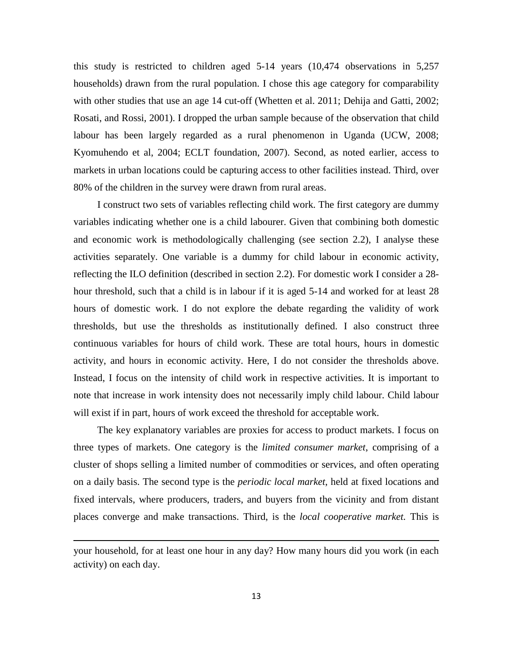this study is restricted to children aged 5-14 years (10,474 observations in 5,257 households) drawn from the rural population. I chose this age category for comparability with other studies that use an age 14 cut-off (Whetten et al. 2011; Dehija and Gatti, 2002; Rosati, and Rossi, 2001). I dropped the urban sample because of the observation that child labour has been largely regarded as a rural phenomenon in Uganda (UCW, 2008; Kyomuhendo et al, 2004; ECLT foundation, 2007). Second, as noted earlier, access to markets in urban locations could be capturing access to other facilities instead. Third, over 80% of the children in the survey were drawn from rural areas.

I construct two sets of variables reflecting child work. The first category are dummy variables indicating whether one is a child labourer. Given that combining both domestic and economic work is methodologically challenging (see section 2.2), I analyse these activities separately. One variable is a dummy for child labour in economic activity, reflecting the ILO definition (described in section 2.2). For domestic work I consider a 28 hour threshold, such that a child is in labour if it is aged 5-14 and worked for at least 28 hours of domestic work. I do not explore the debate regarding the validity of work thresholds, but use the thresholds as institutionally defined. I also construct three continuous variables for hours of child work. These are total hours, hours in domestic activity, and hours in economic activity. Here, I do not consider the thresholds above. Instead, I focus on the intensity of child work in respective activities. It is important to note that increase in work intensity does not necessarily imply child labour. Child labour will exist if in part, hours of work exceed the threshold for acceptable work.

The key explanatory variables are proxies for access to product markets. I focus on three types of markets. One category is the *limited consumer market*, comprising of a cluster of shops selling a limited number of commodities or services, and often operating on a daily basis. The second type is the *periodic local market*, held at fixed locations and fixed intervals, where producers, traders, and buyers from the vicinity and from distant places converge and make transactions. Third, is the *local cooperative market.* This is

l

your household, for at least one hour in any day? How many hours did you work (in each activity) on each day.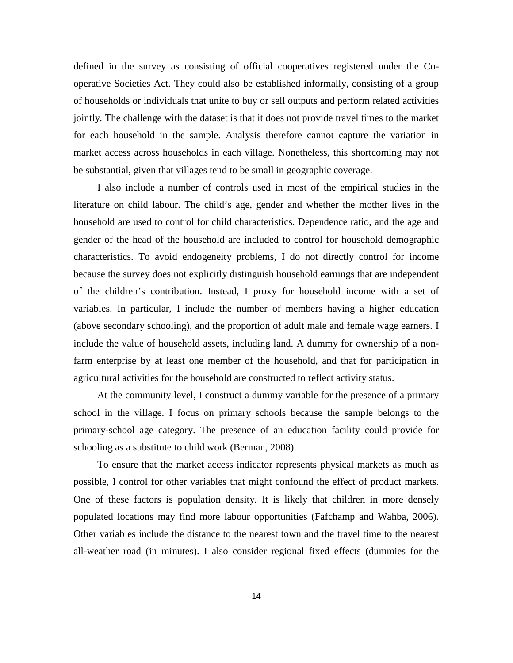defined in the survey as consisting of official cooperatives registered under the Cooperative Societies Act. They could also be established informally, consisting of a group of households or individuals that unite to buy or sell outputs and perform related activities jointly. The challenge with the dataset is that it does not provide travel times to the market for each household in the sample. Analysis therefore cannot capture the variation in market access across households in each village. Nonetheless, this shortcoming may not be substantial, given that villages tend to be small in geographic coverage.

I also include a number of controls used in most of the empirical studies in the literature on child labour. The child's age, gender and whether the mother lives in the household are used to control for child characteristics. Dependence ratio, and the age and gender of the head of the household are included to control for household demographic characteristics. To avoid endogeneity problems, I do not directly control for income because the survey does not explicitly distinguish household earnings that are independent of the children's contribution. Instead, I proxy for household income with a set of variables. In particular, I include the number of members having a higher education (above secondary schooling), and the proportion of adult male and female wage earners. I include the value of household assets, including land. A dummy for ownership of a nonfarm enterprise by at least one member of the household, and that for participation in agricultural activities for the household are constructed to reflect activity status.

At the community level, I construct a dummy variable for the presence of a primary school in the village. I focus on primary schools because the sample belongs to the primary-school age category. The presence of an education facility could provide for schooling as a substitute to child work (Berman, 2008).

To ensure that the market access indicator represents physical markets as much as possible, I control for other variables that might confound the effect of product markets. One of these factors is population density. It is likely that children in more densely populated locations may find more labour opportunities (Fafchamp and Wahba, 2006). Other variables include the distance to the nearest town and the travel time to the nearest all-weather road (in minutes). I also consider regional fixed effects (dummies for the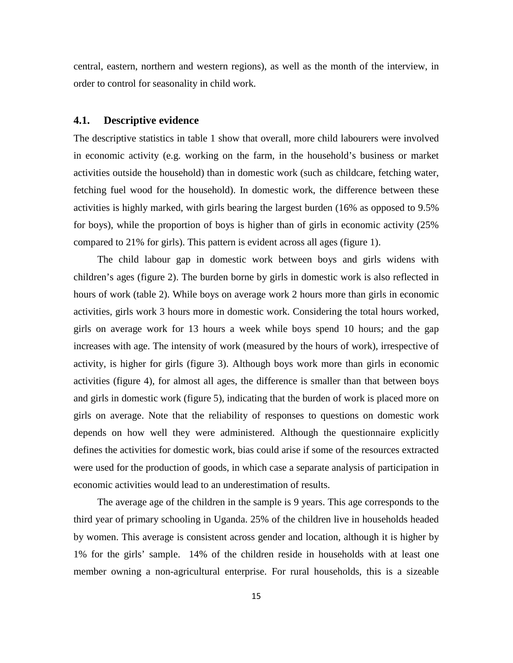central, eastern, northern and western regions), as well as the month of the interview, in order to control for seasonality in child work.

#### **4.1. Descriptive evidence**

The descriptive statistics in table 1 show that overall, more child labourers were involved in economic activity (e.g. working on the farm, in the household's business or market activities outside the household) than in domestic work (such as childcare, fetching water, fetching fuel wood for the household). In domestic work, the difference between these activities is highly marked, with girls bearing the largest burden (16% as opposed to 9.5% for boys), while the proportion of boys is higher than of girls in economic activity (25% compared to 21% for girls). This pattern is evident across all ages (figure 1).

The child labour gap in domestic work between boys and girls widens with children's ages (figure 2). The burden borne by girls in domestic work is also reflected in hours of work (table 2). While boys on average work 2 hours more than girls in economic activities, girls work 3 hours more in domestic work. Considering the total hours worked, girls on average work for 13 hours a week while boys spend 10 hours; and the gap increases with age. The intensity of work (measured by the hours of work), irrespective of activity, is higher for girls (figure 3). Although boys work more than girls in economic activities (figure 4), for almost all ages, the difference is smaller than that between boys and girls in domestic work (figure 5), indicating that the burden of work is placed more on girls on average. Note that the reliability of responses to questions on domestic work depends on how well they were administered. Although the questionnaire explicitly defines the activities for domestic work, bias could arise if some of the resources extracted were used for the production of goods, in which case a separate analysis of participation in economic activities would lead to an underestimation of results.

The average age of the children in the sample is 9 years. This age corresponds to the third year of primary schooling in Uganda. 25% of the children live in households headed by women. This average is consistent across gender and location, although it is higher by 1% for the girls' sample. 14% of the children reside in households with at least one member owning a non-agricultural enterprise. For rural households, this is a sizeable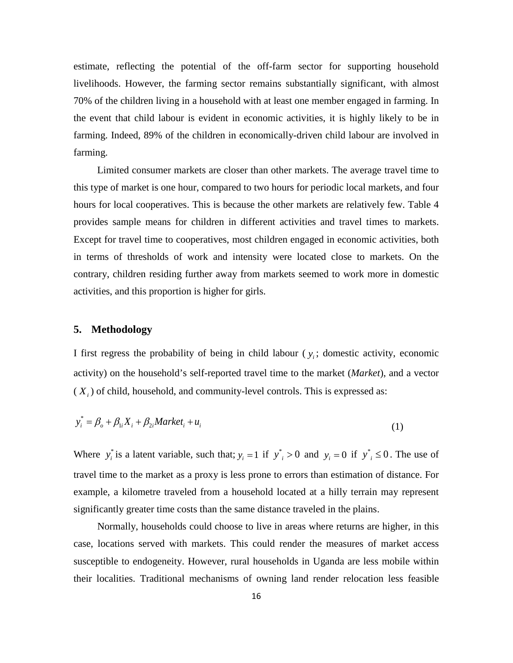estimate, reflecting the potential of the off-farm sector for supporting household livelihoods. However, the farming sector remains substantially significant, with almost 70% of the children living in a household with at least one member engaged in farming. In the event that child labour is evident in economic activities, it is highly likely to be in farming. Indeed, 89% of the children in economically-driven child labour are involved in farming.

Limited consumer markets are closer than other markets. The average travel time to this type of market is one hour, compared to two hours for periodic local markets, and four hours for local cooperatives. This is because the other markets are relatively few. Table 4 provides sample means for children in different activities and travel times to markets. Except for travel time to cooperatives, most children engaged in economic activities, both in terms of thresholds of work and intensity were located close to markets. On the contrary, children residing further away from markets seemed to work more in domestic activities, and this proportion is higher for girls.

#### **5. Methodology**

I first regress the probability of being in child labour  $(y_i;$  domestic activity, economic activity) on the household's self-reported travel time to the market (*Market*), and a vector  $(X<sub>i</sub>)$  of child, household, and community-level controls. This is expressed as:

$$
y_i^* = \beta_o + \beta_{1i} X_i + \beta_{2i} Market_i + u_i
$$
\n(1)

Where  $y_i^*$  is a latent variable, such that;  $y_i = 1$  if  $y_i^* > 0$  and  $y_i = 0$  if  $y_i^* \le 0$ . The use of travel time to the market as a proxy is less prone to errors than estimation of distance. For example, a kilometre traveled from a household located at a hilly terrain may represent significantly greater time costs than the same distance traveled in the plains.

Normally, households could choose to live in areas where returns are higher, in this case, locations served with markets. This could render the measures of market access susceptible to endogeneity. However, rural households in Uganda are less mobile within their localities. Traditional mechanisms of owning land render relocation less feasible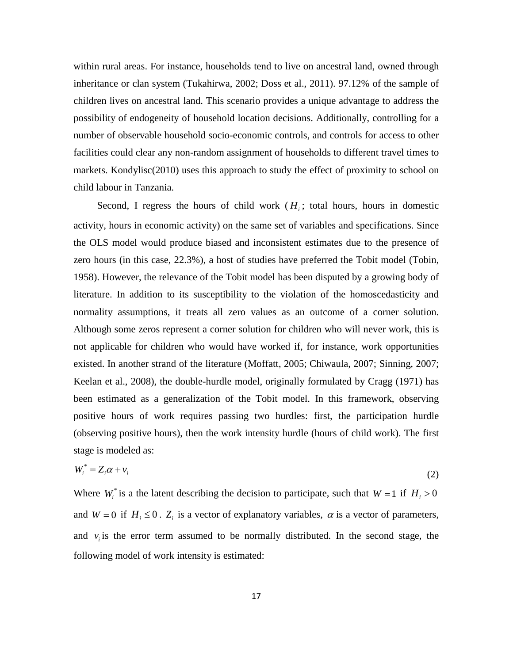within rural areas. For instance, households tend to live on ancestral land, owned through inheritance or clan system (Tukahirwa, 2002; Doss et al., 2011). 97.12% of the sample of children lives on ancestral land. This scenario provides a unique advantage to address the possibility of endogeneity of household location decisions. Additionally, controlling for a number of observable household socio-economic controls, and controls for access to other facilities could clear any non-random assignment of households to different travel times to markets. Kondylisc(2010) uses this approach to study the effect of proximity to school on child labour in Tanzania.

Second, I regress the hours of child work  $(H<sub>i</sub>)$ ; total hours, hours in domestic activity, hours in economic activity) on the same set of variables and specifications. Since the OLS model would produce biased and inconsistent estimates due to the presence of zero hours (in this case, 22.3%), a host of studies have preferred the Tobit model (Tobin, 1958). However, the relevance of the Tobit model has been disputed by a growing body of literature. In addition to its susceptibility to the violation of the homoscedasticity and normality assumptions, it treats all zero values as an outcome of a corner solution. Although some zeros represent a corner solution for children who will never work, this is not applicable for children who would have worked if, for instance, work opportunities existed. In another strand of the literature (Moffatt, 2005; Chiwaula, 2007; Sinning, 2007; Keelan et al., 2008), the double-hurdle model, originally formulated by Cragg (1971) has been estimated as a generalization of the Tobit model. In this framework, observing positive hours of work requires passing two hurdles: first, the participation hurdle (observing positive hours), then the work intensity hurdle (hours of child work). The first stage is modeled as:

$$
W_i^* = Z_i \alpha + \nu_i \tag{2}
$$

Where  $W_i^*$  is a the latent describing the decision to participate, such that  $W = 1$  if  $H_i > 0$ and  $W = 0$  if  $H_i \leq 0$ .  $Z_i$  is a vector of explanatory variables,  $\alpha$  is a vector of parameters, and  $v_i$  is the error term assumed to be normally distributed. In the second stage, the following model of work intensity is estimated: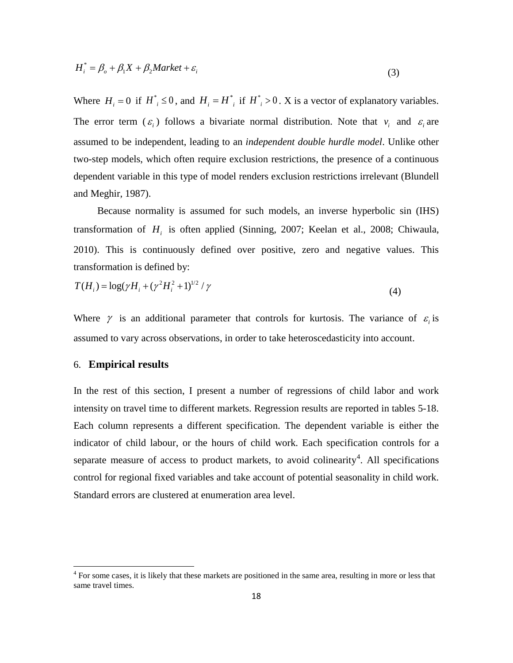$$
H_i^* = \beta_o + \beta_1 X + \beta_2 Market + \varepsilon_i
$$
\n(3)

Where  $H_i = 0$  if  $H^*_i \le 0$ , and  $H_i = H^*_i$  if  $H^*_i > 0$ . X is a vector of explanatory variables. The error term  $(\varepsilon_i)$  follows a bivariate normal distribution. Note that  $v_i$  and  $\varepsilon_i$  are assumed to be independent, leading to an *independent double hurdle model*. Unlike other two-step models, which often require exclusion restrictions, the presence of a continuous dependent variable in this type of model renders exclusion restrictions irrelevant (Blundell and Meghir, 1987).

Because normality is assumed for such models, an inverse hyperbolic sin (IHS) transformation of *Hi* is often applied (Sinning, 2007; Keelan et al., 2008; Chiwaula, 2010). This is continuously defined over positive, zero and negative values. This transformation is defined by:

$$
T(H_i) = \log(\gamma H_i + (\gamma^2 H_i^2 + 1)^{1/2} / \gamma
$$
\n(4)

Where  $\gamma$  is an additional parameter that controls for kurtosis. The variance of  $\varepsilon$  is assumed to vary across observations, in order to take heteroscedasticity into account.

## 6. **Empirical results**

In the rest of this section, I present a number of regressions of child labor and work intensity on travel time to different markets. Regression results are reported in tables 5-18. Each column represents a different specification. The dependent variable is either the indicator of child labour, or the hours of child work. Each specification controls for a separate measure of access to product markets, to avoid colinearity<sup>[4](#page-17-0)</sup>. All specifications control for regional fixed variables and take account of potential seasonality in child work. Standard errors are clustered at enumeration area level.

<span id="page-17-0"></span><sup>&</sup>lt;sup>4</sup> For some cases, it is likely that these markets are positioned in the same area, resulting in more or less that same travel times.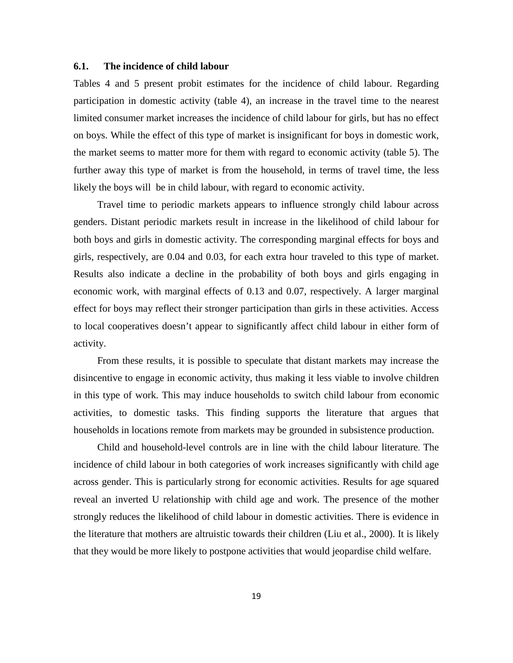#### **6.1. The incidence of child labour**

Tables 4 and 5 present probit estimates for the incidence of child labour. Regarding participation in domestic activity (table 4), an increase in the travel time to the nearest limited consumer market increases the incidence of child labour for girls, but has no effect on boys. While the effect of this type of market is insignificant for boys in domestic work, the market seems to matter more for them with regard to economic activity (table 5). The further away this type of market is from the household, in terms of travel time, the less likely the boys will be in child labour, with regard to economic activity.

Travel time to periodic markets appears to influence strongly child labour across genders. Distant periodic markets result in increase in the likelihood of child labour for both boys and girls in domestic activity. The corresponding marginal effects for boys and girls, respectively, are 0.04 and 0.03, for each extra hour traveled to this type of market. Results also indicate a decline in the probability of both boys and girls engaging in economic work, with marginal effects of 0.13 and 0.07, respectively. A larger marginal effect for boys may reflect their stronger participation than girls in these activities. Access to local cooperatives doesn't appear to significantly affect child labour in either form of activity.

From these results, it is possible to speculate that distant markets may increase the disincentive to engage in economic activity, thus making it less viable to involve children in this type of work. This may induce households to switch child labour from economic activities, to domestic tasks. This finding supports the literature that argues that households in locations remote from markets may be grounded in subsistence production.

Child and household-level controls are in line with the child labour literature. The incidence of child labour in both categories of work increases significantly with child age across gender. This is particularly strong for economic activities. Results for age squared reveal an inverted U relationship with child age and work. The presence of the mother strongly reduces the likelihood of child labour in domestic activities. There is evidence in the literature that mothers are altruistic towards their children (Liu et al., 2000). It is likely that they would be more likely to postpone activities that would jeopardise child welfare.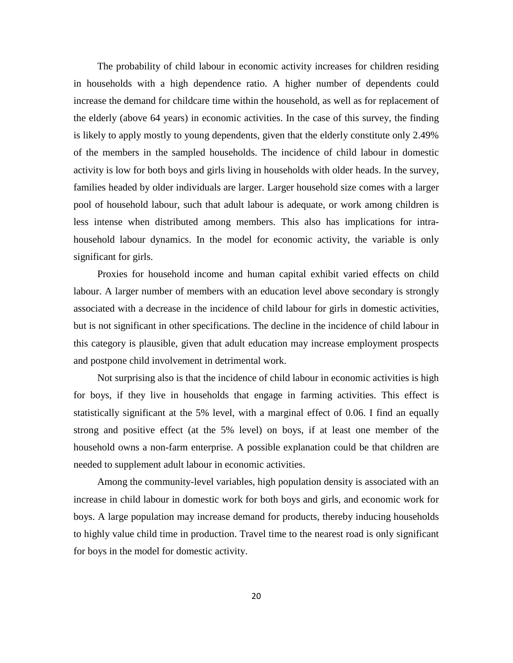The probability of child labour in economic activity increases for children residing in households with a high dependence ratio. A higher number of dependents could increase the demand for childcare time within the household, as well as for replacement of the elderly (above 64 years) in economic activities. In the case of this survey, the finding is likely to apply mostly to young dependents, given that the elderly constitute only 2.49% of the members in the sampled households. The incidence of child labour in domestic activity is low for both boys and girls living in households with older heads. In the survey, families headed by older individuals are larger. Larger household size comes with a larger pool of household labour, such that adult labour is adequate, or work among children is less intense when distributed among members. This also has implications for intrahousehold labour dynamics. In the model for economic activity, the variable is only significant for girls.

Proxies for household income and human capital exhibit varied effects on child labour. A larger number of members with an education level above secondary is strongly associated with a decrease in the incidence of child labour for girls in domestic activities, but is not significant in other specifications. The decline in the incidence of child labour in this category is plausible, given that adult education may increase employment prospects and postpone child involvement in detrimental work.

Not surprising also is that the incidence of child labour in economic activities is high for boys, if they live in households that engage in farming activities. This effect is statistically significant at the 5% level, with a marginal effect of 0.06. I find an equally strong and positive effect (at the 5% level) on boys, if at least one member of the household owns a non-farm enterprise. A possible explanation could be that children are needed to supplement adult labour in economic activities.

Among the community-level variables, high population density is associated with an increase in child labour in domestic work for both boys and girls, and economic work for boys. A large population may increase demand for products, thereby inducing households to highly value child time in production. Travel time to the nearest road is only significant for boys in the model for domestic activity.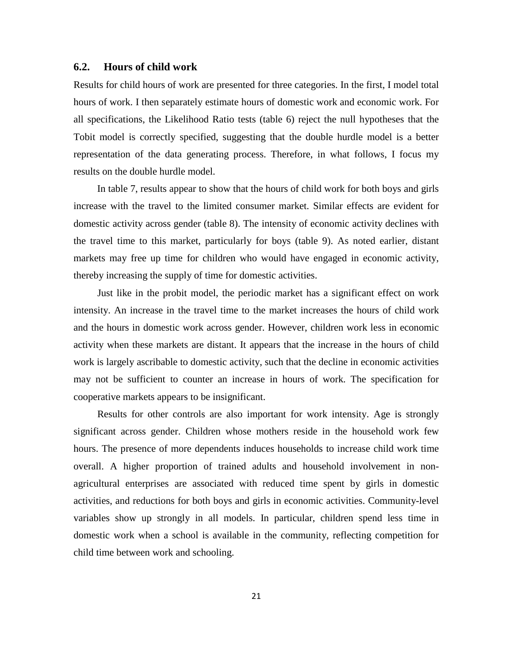## **6.2. Hours of child work**

Results for child hours of work are presented for three categories. In the first, I model total hours of work. I then separately estimate hours of domestic work and economic work. For all specifications, the Likelihood Ratio tests (table 6) reject the null hypotheses that the Tobit model is correctly specified, suggesting that the double hurdle model is a better representation of the data generating process. Therefore, in what follows, I focus my results on the double hurdle model.

In table 7, results appear to show that the hours of child work for both boys and girls increase with the travel to the limited consumer market. Similar effects are evident for domestic activity across gender (table 8). The intensity of economic activity declines with the travel time to this market, particularly for boys (table 9). As noted earlier, distant markets may free up time for children who would have engaged in economic activity, thereby increasing the supply of time for domestic activities.

Just like in the probit model, the periodic market has a significant effect on work intensity. An increase in the travel time to the market increases the hours of child work and the hours in domestic work across gender. However, children work less in economic activity when these markets are distant. It appears that the increase in the hours of child work is largely ascribable to domestic activity, such that the decline in economic activities may not be sufficient to counter an increase in hours of work. The specification for cooperative markets appears to be insignificant.

Results for other controls are also important for work intensity. Age is strongly significant across gender. Children whose mothers reside in the household work few hours. The presence of more dependents induces households to increase child work time overall. A higher proportion of trained adults and household involvement in nonagricultural enterprises are associated with reduced time spent by girls in domestic activities, and reductions for both boys and girls in economic activities. Community-level variables show up strongly in all models. In particular, children spend less time in domestic work when a school is available in the community, reflecting competition for child time between work and schooling.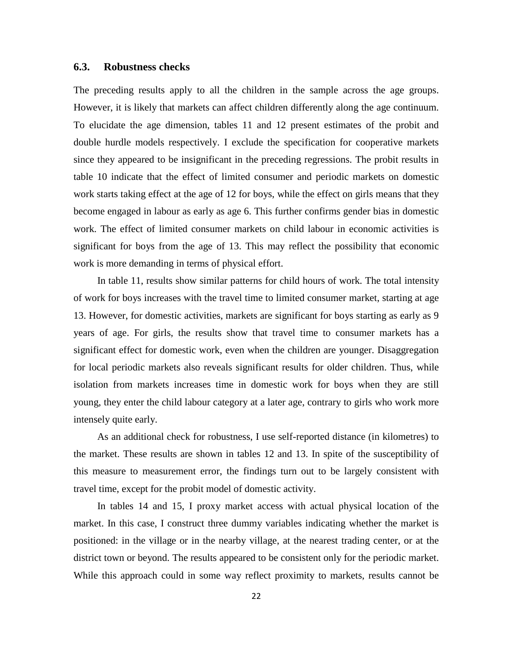## **6.3. Robustness checks**

The preceding results apply to all the children in the sample across the age groups. However, it is likely that markets can affect children differently along the age continuum. To elucidate the age dimension, tables 11 and 12 present estimates of the probit and double hurdle models respectively. I exclude the specification for cooperative markets since they appeared to be insignificant in the preceding regressions. The probit results in table 10 indicate that the effect of limited consumer and periodic markets on domestic work starts taking effect at the age of 12 for boys, while the effect on girls means that they become engaged in labour as early as age 6. This further confirms gender bias in domestic work. The effect of limited consumer markets on child labour in economic activities is significant for boys from the age of 13. This may reflect the possibility that economic work is more demanding in terms of physical effort.

In table 11, results show similar patterns for child hours of work. The total intensity of work for boys increases with the travel time to limited consumer market, starting at age 13. However, for domestic activities, markets are significant for boys starting as early as 9 years of age. For girls, the results show that travel time to consumer markets has a significant effect for domestic work, even when the children are younger. Disaggregation for local periodic markets also reveals significant results for older children. Thus, while isolation from markets increases time in domestic work for boys when they are still young, they enter the child labour category at a later age, contrary to girls who work more intensely quite early.

As an additional check for robustness, I use self-reported distance (in kilometres) to the market. These results are shown in tables 12 and 13. In spite of the susceptibility of this measure to measurement error, the findings turn out to be largely consistent with travel time, except for the probit model of domestic activity.

In tables 14 and 15, I proxy market access with actual physical location of the market. In this case, I construct three dummy variables indicating whether the market is positioned: in the village or in the nearby village, at the nearest trading center, or at the district town or beyond. The results appeared to be consistent only for the periodic market. While this approach could in some way reflect proximity to markets, results cannot be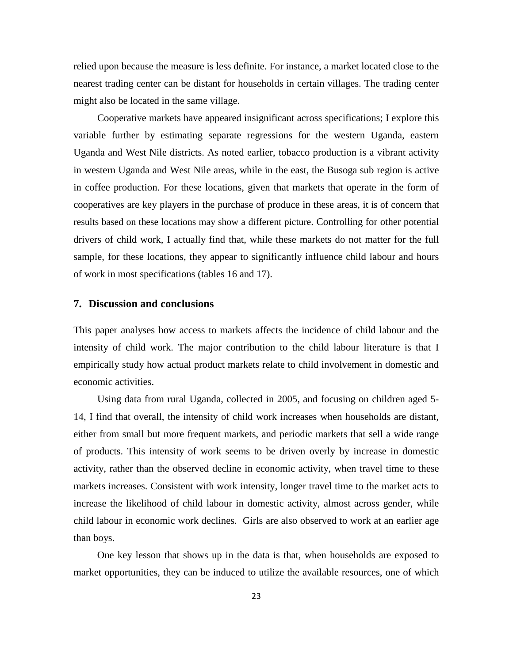relied upon because the measure is less definite. For instance, a market located close to the nearest trading center can be distant for households in certain villages. The trading center might also be located in the same village.

Cooperative markets have appeared insignificant across specifications; I explore this variable further by estimating separate regressions for the western Uganda, eastern Uganda and West Nile districts. As noted earlier, tobacco production is a vibrant activity in western Uganda and West Nile areas, while in the east, the Busoga sub region is active in coffee production. For these locations, given that markets that operate in the form of cooperatives are key players in the purchase of produce in these areas, it is of concern that results based on these locations may show a different picture. Controlling for other potential drivers of child work, I actually find that, while these markets do not matter for the full sample, for these locations, they appear to significantly influence child labour and hours of work in most specifications (tables 16 and 17).

## **7. Discussion and conclusions**

This paper analyses how access to markets affects the incidence of child labour and the intensity of child work. The major contribution to the child labour literature is that I empirically study how actual product markets relate to child involvement in domestic and economic activities.

Using data from rural Uganda, collected in 2005, and focusing on children aged 5- 14, I find that overall, the intensity of child work increases when households are distant, either from small but more frequent markets, and periodic markets that sell a wide range of products. This intensity of work seems to be driven overly by increase in domestic activity, rather than the observed decline in economic activity, when travel time to these markets increases. Consistent with work intensity, longer travel time to the market acts to increase the likelihood of child labour in domestic activity, almost across gender, while child labour in economic work declines. Girls are also observed to work at an earlier age than boys.

One key lesson that shows up in the data is that, when households are exposed to market opportunities, they can be induced to utilize the available resources, one of which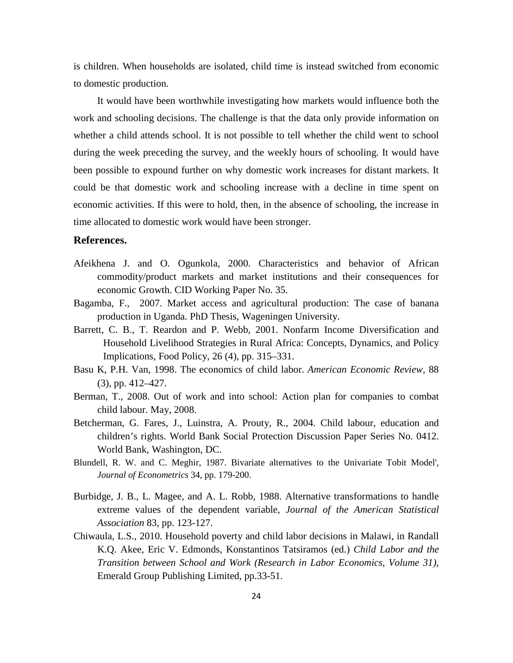is children. When households are isolated, child time is instead switched from economic to domestic production.

It would have been worthwhile investigating how markets would influence both the work and schooling decisions. The challenge is that the data only provide information on whether a child attends school. It is not possible to tell whether the child went to school during the week preceding the survey, and the weekly hours of schooling. It would have been possible to expound further on why domestic work increases for distant markets. It could be that domestic work and schooling increase with a decline in time spent on economic activities. If this were to hold, then, in the absence of schooling, the increase in time allocated to domestic work would have been stronger.

## **References.**

- Afeikhena J. and O. Ogunkola, 2000. Characteristics and behavior of African commodity/product markets and market institutions and their consequences for economic Growth. CID Working Paper No. 35.
- Bagamba, F., 2007. Market access and agricultural production: The case of banana production in Uganda. PhD Thesis, Wageningen University.
- Barrett, C. B., T. Reardon and P. Webb, 2001. Nonfarm Income Diversification and Household Livelihood Strategies in Rural Africa: Concepts, Dynamics, and Policy Implications, Food Policy, 26 (4), pp. 315–331.
- Basu K, P.H. Van, 1998. The economics of child labor. *American Economic Review*, 88 (3), pp. 412–427.
- Berman, T., 2008. Out of work and into school: Action plan for companies to combat child labour. May, 2008.
- Betcherman, G. Fares, J., Luinstra, A. Prouty, R., 2004. Child labour, education and children's rights. World Bank Social Protection Discussion Paper Series No. 0412. World Bank, Washington, DC.
- Blundell, R. W. and C. Meghir, 1987. Bivariate alternatives to the Univariate Tobit Model', *Journal of Econometrics* 34, pp. 179-200.
- Burbidge, J. B., L. Magee, and A. L. Robb, 1988. Alternative transformations to handle extreme values of the dependent variable, *Journal of the American Statistical Association* 83, pp. 123-127.
- Chiwaula, L.S., 2010. Household poverty and child labor decisions in Malawi, in Randall K.Q. Akee, Eric V. Edmonds, Konstantinos Tatsiramos (ed.) *Child Labor and the Transition between School and Work (Research in Labor Economics, Volume 31)*, Emerald Group Publishing Limited, pp.33-51.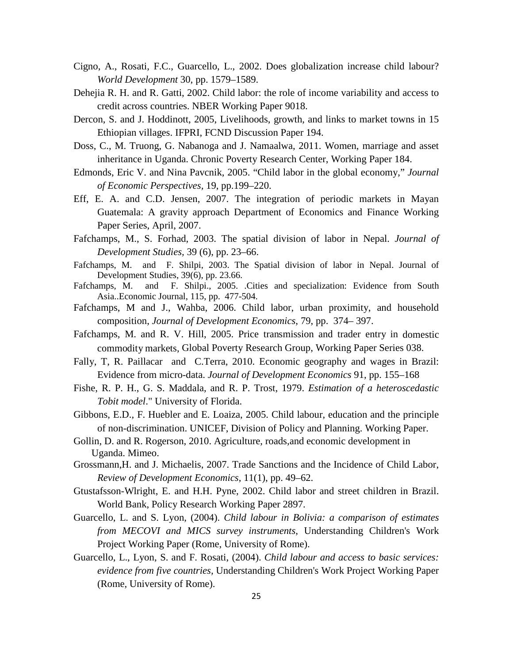- Cigno, A., Rosati, F.C., Guarcello, L., 2002. Does globalization increase child labour? *World Development* 30, pp. 1579–1589.
- Dehejia R. H. and R. Gatti, 2002. Child labor: the role of income variability and access to credit across countries. NBER Working Paper 9018.
- Dercon, S. and J. Hoddinott, 2005, Livelihoods, growth, and links to market towns in 15 Ethiopian villages. IFPRI, FCND Discussion Paper 194.
- Doss, C., M. Truong, G. Nabanoga and J. Namaalwa, 2011. Women, marriage and asset inheritance in Uganda. Chronic Poverty Research Center, Working Paper 184.
- Edmonds, Eric V. and Nina Pavcnik, 2005. "Child labor in the global economy," *Journal of Economic Perspectives,* 19, pp.199–220.
- Eff, E. A. and C.D. Jensen, 2007. The integration of periodic markets in Mayan Guatemala: A gravity approach Department of Economics and Finance Working Paper Series, April, 2007.
- Fafchamps, M., S. Forhad, 2003. The spatial division of labor in Nepal. *Journal of Development Studies,* 39 (6), pp. 23–66.
- Fafchamps, M. and F. Shilpi, 2003. The Spatial division of labor in Nepal. Journal of Development Studies, 39(6), pp. 23.66.
- Fafchamps, M. and F. Shilpi., 2005. .Cities and specialization: Evidence from South Asia..Economic Journal, 115, pp. 477-504.
- Fafchamps, M and J., Wahba, 2006. Child labor, urban proximity, and household composition, *Journal of Development Economics*, 79, pp. 374– 397.
- Fafchamps, M. and R. V. Hill, 2005. Price transmission and trader entry in domestic commodity markets, Global Poverty Research Group, Working Paper Series 038.
- Fally, T, R. Paillacar and C.Terra, 2010. Economic geography and wages in Brazil: Evidence from micro-data. *Journal of Development Economics* 91, pp. 155–168
- Fishe, R. P. H., G. S. Maddala, and R. P. Trost, 1979. *Estimation of a heteroscedastic Tobit model*." University of Florida.
- Gibbons, E.D., F. Huebler and E. Loaiza, 2005. Child labour, education and the principle of non-discrimination. UNICEF, Division of Policy and Planning. Working Paper.
- Gollin, D. and R. Rogerson, 2010. Agriculture, roads,and economic development in Uganda. Mimeo.
- Grossmann,H. and J. Michaelis, 2007. Trade Sanctions and the Incidence of Child Labor, *Review of Development Economics*, 11(1), pp. 49–62.
- Gtustafsson-Wlright, E. and H.H. Pyne, 2002. Child labor and street children in Brazil. World Bank, Policy Research Working Paper 2897.
- Guarcello, L. and S. Lyon, (2004). *Child labour in Bolivia: a comparison of estimates from MECOVI and MICS survey instruments*, Understanding Children's Work Project Working Paper (Rome, University of Rome).
- Guarcello, L., Lyon, S. and F. Rosati, (2004). *Child labour and access to basic services: evidence from five countries,* Understanding Children's Work Project Working Paper (Rome, University of Rome).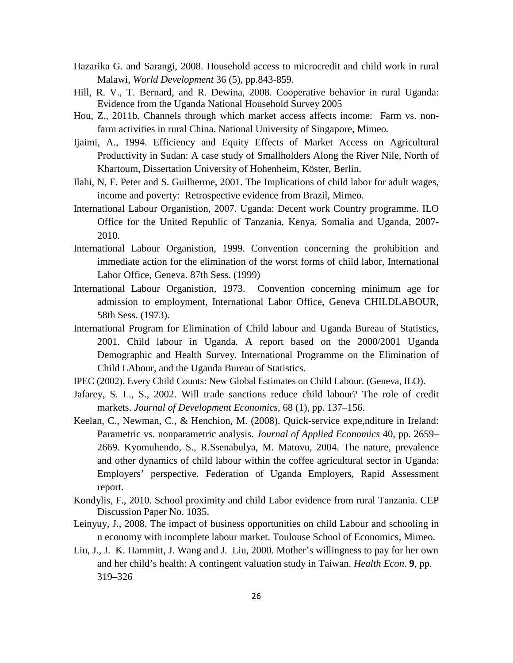- Hazarika G. and Sarangi, 2008. Household access to microcredit and child work in rural Malawi, *World Development* 36 (5), pp.843-859.
- Hill, R. V., T. Bernard, and R. Dewina, 2008. Cooperative behavior in rural Uganda: Evidence from the Uganda National Household Survey 2005
- Hou, Z., 2011b*.* Channels through which market access affects income: Farm vs. nonfarm activities in rural China. National University of Singapore, Mimeo*.*
- Ijaimi, A., 1994. Efficiency and Equity Effects of Market Access on Agricultural Productivity in Sudan: A case study of Smallholders Along the River Nile, North of Khartoum, Dissertation University of Hohenheim, Köster, Berlin.
- Ilahi, N, F. Peter and S. Guilherme, 2001. The Implications of child labor for adult wages, income and poverty: Retrospective evidence from Brazil, Mimeo.
- International Labour Organistion, 2007. Uganda: Decent work Country programme. ILO Office for the United Republic of Tanzania, Kenya, Somalia and Uganda, 2007- 2010.
- International Labour Organistion, 1999. Convention concerning the prohibition and immediate action for the elimination of the worst forms of child labor, International Labor Office, Geneva. 87th Sess. (1999)
- International Labour Organistion, 1973. Convention concerning minimum age for admission to employment, International Labor Office, Geneva CHILDLABOUR, 58th Sess. (1973).
- International Program for Elimination of Child labour and Uganda Bureau of Statistics, 2001. Child labour in Uganda. A report based on the 2000/2001 Uganda Demographic and Health Survey. International Programme on the Elimination of Child LAbour, and the Uganda Bureau of Statistics.
- IPEC (2002). Every Child Counts: New Global Estimates on Child Labour. (Geneva, ILO).
- Jafarey, S. L., S., 2002. Will trade sanctions reduce child labour? The role of credit markets. *Journal of Development Economics,* 68 (1), pp. 137–156.
- Keelan, C., Newman, C., & Henchion, M. (2008). Quick-service expe,nditure in Ireland: Parametric vs. nonparametric analysis. *Journal of Applied Economics* 40, pp. 2659– 2669. Kyomuhendo, S., R.Ssenabulya, M. Matovu, 2004. The nature, prevalence and other dynamics of child labour within the coffee agricultural sector in Uganda: Employers' perspective. Federation of Uganda Employers, Rapid Assessment report.
- Kondylis, F., 2010. School proximity and child Labor evidence from rural Tanzania. CEP Discussion Paper No. 1035.
- Leinyuy, J., 2008. The impact of business opportunities on child Labour and schooling in n economy with incomplete labour market. Toulouse School of Economics, Mimeo.
- Liu, J., J. K. Hammitt, J. Wang and J. Liu, 2000. Mother's willingness to pay for her own and her child's health: A contingent valuation study in Taiwan. *Health Econ*. **9**, pp. 319–326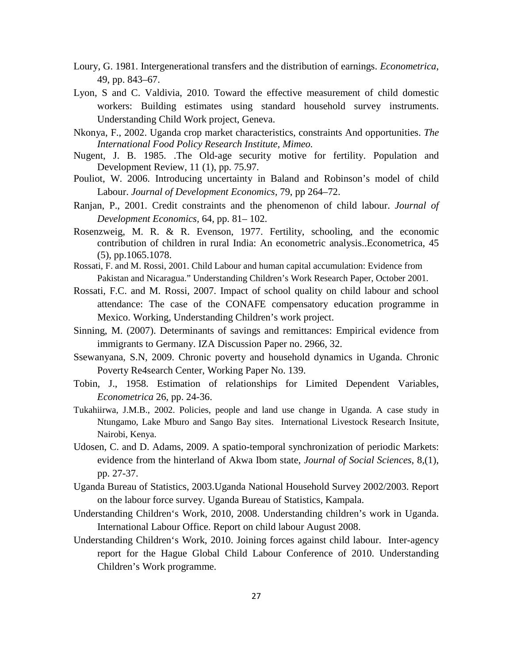- Loury, G. 1981. Intergenerational transfers and the distribution of earnings. *Econometrica*, 49, pp. 843–67.
- Lyon, S and C. Valdivia, 2010. Toward the effective measurement of child domestic workers: Building estimates using standard household survey instruments. Understanding Child Work project, Geneva.
- Nkonya, F., 2002. Uganda crop market characteristics, constraints And opportunities. *The International Food Policy Research Institute, Mimeo.*
- Nugent, J. B. 1985. .The Old-age security motive for fertility. Population and Development Review, 11 (1), pp. 75.97.
- Pouliot, W. 2006. Introducing uncertainty in Baland and Robinson's model of child Labour. *Journal of Development Economics,* 79, pp 264–72.
- Ranjan, P., 2001. Credit constraints and the phenomenon of child labour. *Journal of Development Economics,* 64, pp. 81– 102.
- Rosenzweig, M. R. & R. Evenson, 1977. Fertility, schooling, and the economic contribution of children in rural India: An econometric analysis..Econometrica, 45 (5), pp.1065.1078.
- Rossati, F. and M. Rossi, 2001. Child Labour and human capital accumulation: Evidence from Pakistan and Nicaragua." Understanding Children's Work Research Paper, October 2001.
- Rossati, F.C. and M. Rossi, 2007. Impact of school quality on child labour and school attendance: The case of the CONAFE compensatory education programme in Mexico. Working, Understanding Children's work project.
- Sinning, M. (2007). Determinants of savings and remittances: Empirical evidence from immigrants to Germany. IZA Discussion Paper no. 2966, 32.
- Ssewanyana, S.N, 2009. Chronic poverty and household dynamics in Uganda. Chronic Poverty Re4search Center, Working Paper No. 139.
- Tobin, J., 1958. Estimation of relationships for Limited Dependent Variables, *Econometrica* 26, pp. 24-36.
- Tukahiirwa, J.M.B., 2002. Policies, people and land use change in Uganda. A case study in Ntungamo, Lake Mburo and Sango Bay sites. International Livestock Research Insitute, Nairobi, Kenya.
- Udosen, C. and D. Adams, 2009. A spatio-temporal synchronization of periodic Markets: evidence from the hinterland of Akwa Ibom state, *Journal of Social Sciences*, 8,(1), pp. 27-37.
- Uganda Bureau of Statistics, 2003.Uganda National Household Survey 2002/2003. Report on the labour force survey. Uganda Bureau of Statistics, Kampala.
- Understanding Children's Work, 2010, 2008. Understanding children's work in Uganda. International Labour Office. Report on child labour August 2008.
- Understanding Children's Work, 2010. Joining forces against child labour. Inter-agency report for the Hague Global Child Labour Conference of 2010. Understanding Children's Work programme.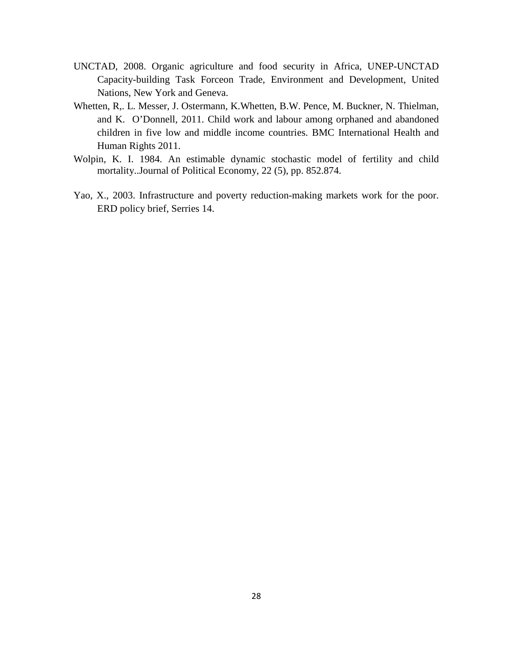- UNCTAD, 2008. Organic agriculture and food security in Africa, UNEP-UNCTAD Capacity-building Task Forceon Trade, Environment and Development, United Nations, New York and Geneva.
- Whetten, R,. L. Messer, J. Ostermann, K.Whetten, B.W. Pence, M. Buckner, N. Thielman, and K. O'Donnell, 2011. Child work and labour among orphaned and abandoned children in five low and middle income countries. BMC International Health and Human Rights 2011.
- Wolpin, K. I. 1984. An estimable dynamic stochastic model of fertility and child mortality..Journal of Political Economy, 22 (5), pp. 852.874.
- Yao, X., 2003. Infrastructure and poverty reduction-making markets work for the poor. ERD policy brief, Serries 14.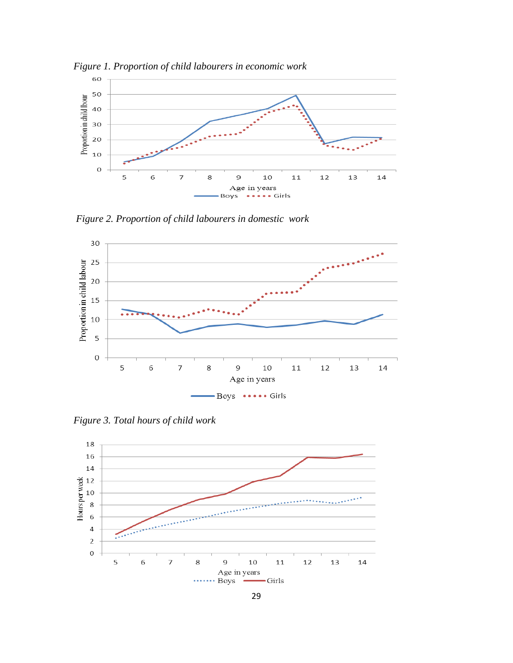

*Figure 1. Proportion of child labourers in economic work* 

*Figure 2. Proportion of child labourers in domestic work* 



*Figure 3. Total hours of child work*

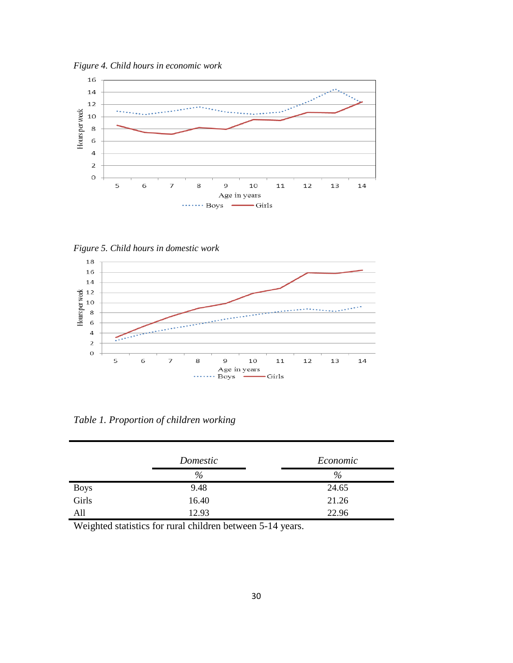*Figure 4. Child hours in economic work*



*Figure 5. Child hours in domestic work*



*Table 1. Proportion of children working*

|               | Domestic | Economic |
|---------------|----------|----------|
|               | %        | $\%$     |
| Boys<br>Girls | 9.48     | 24.65    |
|               | 16.40    | 21.26    |
| All           | 12.93    | 22.96    |

Weighted statistics for rural children between 5-14 years.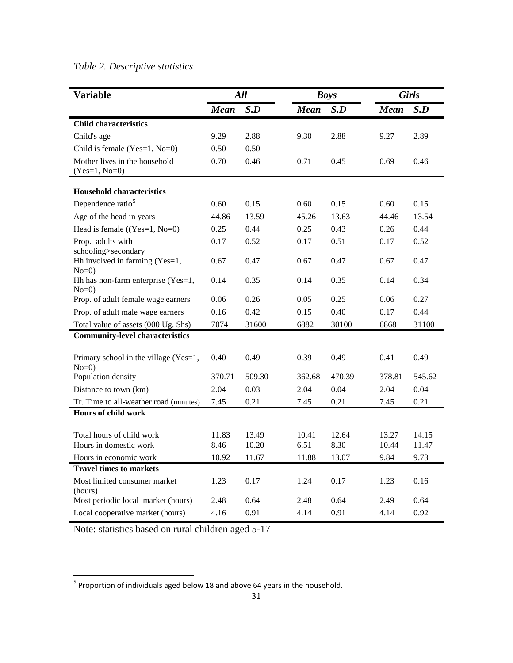## *Table 2. Descriptive statistics*

| <b>Variable</b>                                  | All         |        |             | <b>Boys</b> | <b>Girls</b> |        |  |
|--------------------------------------------------|-------------|--------|-------------|-------------|--------------|--------|--|
|                                                  | <b>Mean</b> | S.D    | <b>Mean</b> | S.D         | <b>Mean</b>  | S.D    |  |
| <b>Child characteristics</b>                     |             |        |             |             |              |        |  |
| Child's age                                      | 9.29        | 2.88   | 9.30        | 2.88        | 9.27         | 2.89   |  |
| Child is female (Yes=1, $No=0$ )                 | 0.50        | 0.50   |             |             |              |        |  |
| Mother lives in the household<br>$(Yes=1, No=0)$ | 0.70        | 0.46   | 0.71        | 0.45        | 0.69         | 0.46   |  |
| <b>Household characteristics</b>                 |             |        |             |             |              |        |  |
| Dependence ratio <sup>5</sup>                    | 0.60        | 0.15   | 0.60        | 0.15        | 0.60         | 0.15   |  |
| Age of the head in years                         | 44.86       | 13.59  | 45.26       | 13.63       | 44.46        | 13.54  |  |
| Head is female $((Yes=1, No=0))$                 | 0.25        | 0.44   | 0.25        | 0.43        | 0.26         | 0.44   |  |
| Prop. adults with<br>schooling>secondary         | 0.17        | 0.52   | 0.17        | 0.51        | 0.17         | 0.52   |  |
| Hh involved in farming (Yes=1,<br>$No=0$         | 0.67        | 0.47   | 0.67        | 0.47        | 0.67         | 0.47   |  |
| Hh has non-farm enterprise (Yes=1,<br>$No=0$     | 0.14        | 0.35   | 0.14        | 0.35        | 0.14         | 0.34   |  |
| Prop. of adult female wage earners               | 0.06        | 0.26   | 0.05        | 0.25        | 0.06         | 0.27   |  |
| Prop. of adult male wage earners                 | 0.16        | 0.42   | 0.15        | 0.40        | 0.17         | 0.44   |  |
| Total value of assets (000 Ug. Shs)              | 7074        | 31600  | 6882        | 30100       | 6868         | 31100  |  |
| <b>Community-level characteristics</b>           |             |        |             |             |              |        |  |
| Primary school in the village (Yes=1,<br>$No=0$  | 0.40        | 0.49   | 0.39        | 0.49        | 0.41         | 0.49   |  |
| Population density                               | 370.71      | 509.30 | 362.68      | 470.39      | 378.81       | 545.62 |  |
| Distance to town (km)                            | 2.04        | 0.03   | 2.04        | 0.04        | 2.04         | 0.04   |  |
| Tr. Time to all-weather road (minutes)           | 7.45        | 0.21   | 7.45        | 0.21        | 7.45         | 0.21   |  |
| <b>Hours of child work</b>                       |             |        |             |             |              |        |  |
| Total hours of child work                        | 11.83       | 13.49  | 10.41       | 12.64       | 13.27        | 14.15  |  |
| Hours in domestic work                           | 8.46        | 10.20  | 6.51        | 8.30        | 10.44        | 11.47  |  |
| Hours in economic work                           | 10.92       | 11.67  | 11.88       | 13.07       | 9.84         | 9.73   |  |
| <b>Travel times to markets</b>                   |             |        |             |             |              |        |  |
| Most limited consumer market<br>(hours)          | 1.23        | 0.17   | 1.24        | 0.17        | 1.23         | 0.16   |  |
| Most periodic local market (hours)               | 2.48        | 0.64   | 2.48        | 0.64        | 2.49         | 0.64   |  |
| Local cooperative market (hours)                 | 4.16        | 0.91   | 4.14        | 0.91        | 4.14         | 0.92   |  |

Note: statistics based on rural children aged 5-17

<span id="page-30-0"></span> $<sup>5</sup>$  Proportion of individuals aged below 18 and above 64 years in the household.</sup>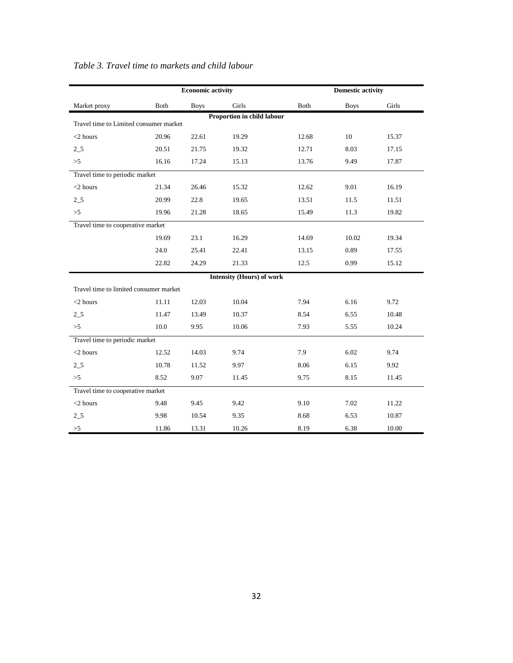|                                        | <b>Economic activity</b> |             |                                  |       | <b>Domestic activity</b> |       |  |
|----------------------------------------|--------------------------|-------------|----------------------------------|-------|--------------------------|-------|--|
| Market proxy                           | Both                     | <b>Boys</b> | Girls                            | Both  | <b>Boys</b>              | Girls |  |
| Travel time to Limited consumer market |                          |             | Proportion in child labour       |       |                          |       |  |
|                                        |                          |             |                                  |       |                          |       |  |
| $<$ 2 hours                            | 20.96                    | 22.61       | 19.29                            | 12.68 | 10                       | 15.37 |  |
| $2\_5$                                 | 20.51                    | 21.75       | 19.32                            | 12.71 | 8.03                     | 17.15 |  |
| >5                                     | 16.16                    | 17.24       | 15.13                            | 13.76 | 9.49                     | 17.87 |  |
| Travel time to periodic market         |                          |             |                                  |       |                          |       |  |
| $<$ 2 hours                            | 21.34                    | 26.46       | 15.32                            | 12.62 | 9.01                     | 16.19 |  |
| $2\_5$                                 | 20.99                    | 22.8        | 19.65                            | 13.51 | 11.5                     | 11.51 |  |
| >5                                     | 19.96                    | 21.28       | 18.65                            | 15.49 | 11.3                     | 19.82 |  |
| Travel time to cooperative market      |                          |             |                                  |       |                          |       |  |
|                                        | 19.69                    | 23.1        | 16.29                            | 14.69 | 10.02                    | 19.34 |  |
|                                        | 24.0                     | 25.41       | 22.41                            | 13.15 | 0.89                     | 17.55 |  |
|                                        | 22.82                    | 24.29       | 21.33                            | 12.5  | 0.99                     | 15.12 |  |
|                                        |                          |             | <b>Intensity (Hours) of work</b> |       |                          |       |  |
| Travel time to limited consumer market |                          |             |                                  |       |                          |       |  |
| $<$ 2 hours                            | 11.11                    | 12.03       | 10.04                            | 7.94  | 6.16                     | 9.72  |  |
| $2\_5$                                 | 11.47                    | 13.49       | 10.37                            | 8.54  | 6.55                     | 10.48 |  |
| >5                                     | 10.0                     | 9.95        | 10.06                            | 7.93  | 5.55                     | 10.24 |  |
| Travel time to periodic market         |                          |             |                                  |       |                          |       |  |
| $<$ 2 hours                            | 12.52                    | 14.03       | 9.74                             | 7.9   | 6.02                     | 9.74  |  |
| $2\_5$                                 | 10.78                    | 11.52       | 9.97                             | 8.06  | 6.15                     | 9.92  |  |
| >5                                     | 8.52                     | 9.07        | 11.45                            | 9.75  | 8.15                     | 11.45 |  |
| Travel time to cooperative market      |                          |             |                                  |       |                          |       |  |
| $<$ 2 hours                            | 9.48                     | 9.45        | 9.42                             | 9.10  | 7.02                     | 11.22 |  |
| $2\_5$                                 | 9.98                     | 10.54       | 9.35                             | 8.68  | 6.53                     | 10.87 |  |
| >5                                     | 11.86                    | 13.31       | 10.26                            | 8.19  | 6.38                     | 10.00 |  |

#### *Table 3. Travel time to markets and child labour*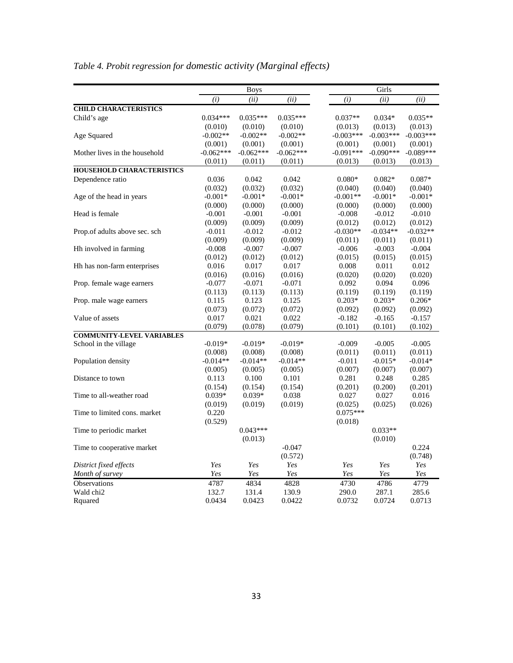|                                                                                                                                | Girls                |  |  |  |
|--------------------------------------------------------------------------------------------------------------------------------|----------------------|--|--|--|
| (i)<br>(ii)<br>(i)<br>(ii)<br>(ii)                                                                                             | (ii)                 |  |  |  |
| <b>CHILD CHARACTERISTICS</b>                                                                                                   |                      |  |  |  |
| $0.035***$<br>$0.034***$<br>$0.035***$<br>$0.037**$<br>$0.034*$<br>Child's age                                                 | $0.035**$            |  |  |  |
| (0.010)<br>(0.010)<br>(0.010)<br>(0.013)<br>(0.013)                                                                            | (0.013)              |  |  |  |
| $-0.003***$<br>$-0.002**$<br>$-0.002**$<br>$-0.002**$<br>$-0.003***$<br>Age Squared                                            | $-0.003***$          |  |  |  |
| (0.001)<br>(0.001)<br>(0.001)<br>(0.001)<br>(0.001)                                                                            | (0.001)              |  |  |  |
| $-0.062***$<br>$-0.062***$<br>$-0.062***$<br>$-0.091***$<br>$-0.090***$<br>Mother lives in the household                       | $-0.089***$          |  |  |  |
| (0.011)<br>(0.011)<br>(0.011)<br>(0.013)<br>(0.013)                                                                            | (0.013)              |  |  |  |
| <b>HOUSEHOLD CHARACTERISTICS</b>                                                                                               |                      |  |  |  |
| $0.080*$<br>Dependence ratio<br>0.036<br>0.042<br>0.042<br>$0.082*$                                                            | $0.087*$             |  |  |  |
| (0.032)<br>(0.032)<br>(0.032)<br>(0.040)<br>(0.040)                                                                            | (0.040)              |  |  |  |
| $-0.001**$<br>Age of the head in years<br>$-0.001*$<br>$-0.001*$<br>$-0.001*$<br>$-0.001*$                                     | $-0.001*$            |  |  |  |
| (0.000)<br>(0.000)<br>(0.000)<br>(0.000)<br>(0.000)                                                                            | (0.000)              |  |  |  |
| Head is female<br>$-0.001$<br>$-0.001$<br>$-0.001$<br>$-0.008$<br>$-0.012$                                                     | $-0.010$             |  |  |  |
| (0.009)<br>(0.009)<br>(0.009)<br>(0.012)<br>(0.012)                                                                            | (0.012)              |  |  |  |
| $-0.030**$<br>$-0.034**$<br>Prop.of adults above sec. sch<br>$-0.011$<br>$-0.012$<br>$-0.012$                                  | $-0.032**$           |  |  |  |
| (0.009)<br>(0.009)<br>(0.009)<br>(0.011)<br>(0.011)                                                                            | (0.011)              |  |  |  |
| Hh involved in farming<br>$-0.007$<br>$-0.007$<br>$-0.006$<br>$-0.003$<br>$-0.008$                                             | $-0.004$             |  |  |  |
| (0.012)<br>(0.012)<br>(0.015)<br>(0.015)<br>(0.012)                                                                            | (0.015)              |  |  |  |
| Hh has non-farm enterprises<br>0.016<br>0.017<br>0.017<br>0.008<br>0.011                                                       | 0.012                |  |  |  |
| (0.016)<br>(0.016)<br>(0.020)<br>(0.020)<br>(0.016)                                                                            | (0.020)              |  |  |  |
| 0.092<br>0.094<br>Prop. female wage earners<br>$-0.077$<br>$-0.071$<br>$-0.071$                                                | 0.096                |  |  |  |
| (0.113)<br>(0.113)<br>(0.113)<br>(0.119)<br>(0.119)                                                                            | (0.119)              |  |  |  |
| $0.203*$<br>$0.203*$<br>0.115<br>0.123<br>0.125<br>Prop. male wage earners                                                     | $0.206*$             |  |  |  |
| (0.072)<br>(0.072)<br>(0.073)<br>(0.092)<br>(0.092)                                                                            | (0.092)              |  |  |  |
| Value of assets<br>0.022<br>0.017<br>0.021<br>$-0.182$<br>$-0.165$                                                             | $-0.157$             |  |  |  |
| (0.079)<br>(0.078)<br>(0.079)<br>(0.101)<br>(0.101)                                                                            | (0.102)              |  |  |  |
| <b>COMMUNITY-LEVEL VARIABLES</b><br>$-0.019*$                                                                                  |                      |  |  |  |
| School in the village<br>$-0.019*$<br>$-0.019*$<br>$-0.009$<br>$-0.005$<br>(0.008)<br>(0.011)<br>(0.008)<br>(0.008)<br>(0.011) | $-0.005$             |  |  |  |
| $-0.014**$<br>$-0.014**$<br>$-0.014**$<br>Population density<br>$-0.011$<br>$-0.015*$                                          | (0.011)<br>$-0.014*$ |  |  |  |
| (0.005)<br>(0.005)<br>(0.007)<br>(0.007)                                                                                       | (0.007)              |  |  |  |
| (0.005)<br>0.100<br>0.101<br>0.281<br>0.113<br>0.248<br>Distance to town                                                       | 0.285                |  |  |  |
| (0.154)<br>(0.154)<br>(0.154)<br>(0.201)<br>(0.200)                                                                            | (0.201)              |  |  |  |
| $0.039*$<br>$0.039*$<br>0.038<br>0.027<br>0.027<br>Time to all-weather road                                                    | 0.016                |  |  |  |
| (0.025)<br>(0.019)<br>(0.019)<br>(0.019)<br>(0.025)                                                                            | (0.026)              |  |  |  |
| $0.075***$<br>0.220<br>Time to limited cons. market                                                                            |                      |  |  |  |
| (0.529)<br>(0.018)                                                                                                             |                      |  |  |  |
| $0.043***$<br>$0.033**$<br>Time to periodic market                                                                             |                      |  |  |  |
| (0.013)<br>(0.010)                                                                                                             |                      |  |  |  |
| $-0.047$<br>Time to cooperative market                                                                                         | 0.224                |  |  |  |
| (0.572)                                                                                                                        | (0.748)              |  |  |  |
| District fixed effects<br>Yes<br>Yes<br>Yes<br>Yes<br>Yes                                                                      | Yes                  |  |  |  |
| Yes<br>Yes<br>Yes<br>Yes<br>Month of survey<br>Yes                                                                             | Yes                  |  |  |  |
| Observations<br>4787<br>4834<br>4730<br>4786<br>4828                                                                           | 4779                 |  |  |  |
| Wald chi2<br>132.7<br>131.4<br>290.0<br>287.1<br>130.9                                                                         | 285.6                |  |  |  |
| 0.0434<br>0.0422<br>0.0732<br>0.0724<br>Rquared<br>0.0423                                                                      | 0.0713               |  |  |  |

*Table 4. Probit regression for domestic activity (Marginal effects)*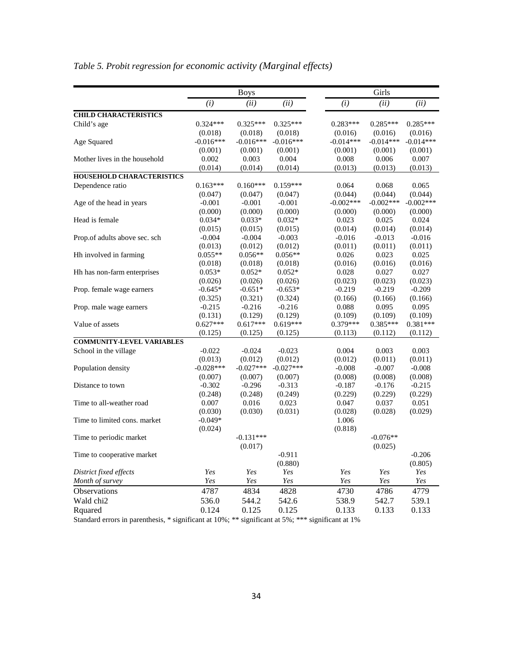|                                  |             | <b>Boys</b> |             |             | Girls       |             |
|----------------------------------|-------------|-------------|-------------|-------------|-------------|-------------|
|                                  | (i)         | (ii)        | (ii)        | (i)         | (ii)        | (ii)        |
| <b>CHILD CHARACTERISTICS</b>     |             |             |             |             |             |             |
| Child's age                      | 0.324***    | $0.325***$  | $0.325***$  | $0.283***$  | $0.285***$  | $0.285***$  |
|                                  | (0.018)     | (0.018)     | (0.018)     | (0.016)     | (0.016)     | (0.016)     |
| Age Squared                      | $-0.016***$ | $-0.016***$ | $-0.016***$ | $-0.014***$ | $-0.014***$ | $-0.014***$ |
|                                  | (0.001)     | (0.001)     | (0.001)     | (0.001)     | (0.001)     | (0.001)     |
| Mother lives in the household    | 0.002       | 0.003       | 0.004       | 0.008       | 0.006       | 0.007       |
|                                  | (0.014)     | (0.014)     | (0.014)     | (0.013)     | (0.013)     | (0.013)     |
| <b>HOUSEHOLD CHARACTERISTICS</b> |             |             |             |             |             |             |
| Dependence ratio                 | $0.163***$  | $0.160***$  | $0.159***$  | 0.064       | 0.068       | 0.065       |
|                                  | (0.047)     | (0.047)     | (0.047)     | (0.044)     | (0.044)     | (0.044)     |
| Age of the head in years         | $-0.001$    | $-0.001$    | $-0.001$    | $-0.002***$ | $-0.002***$ | $-0.002***$ |
|                                  | (0.000)     | (0.000)     | (0.000)     | (0.000)     | (0.000)     | (0.000)     |
| Head is female                   | $0.034*$    | $0.033*$    | $0.032*$    | 0.023       | 0.025       | 0.024       |
|                                  | (0.015)     | (0.015)     | (0.015)     | (0.014)     | (0.014)     | (0.014)     |
| Prop.of adults above sec. sch    | $-0.004$    | $-0.004$    | $-0.003$    | $-0.016$    | $-0.013$    | $-0.016$    |
|                                  | (0.013)     | (0.012)     | (0.012)     | (0.011)     | (0.011)     | (0.011)     |
| Hh involved in farming           | $0.055**$   | $0.056**$   | $0.056**$   | 0.026       | 0.023       | 0.025       |
|                                  | (0.018)     | (0.018)     | (0.018)     | (0.016)     | (0.016)     | (0.016)     |
| Hh has non-farm enterprises      | $0.053*$    | $0.052*$    | $0.052*$    | 0.028       | 0.027       | 0.027       |
|                                  | (0.026)     | (0.026)     | (0.026)     | (0.023)     | (0.023)     | (0.023)     |
| Prop. female wage earners        | $-0.645*$   | $-0.651*$   | $-0.653*$   | $-0.219$    | $-0.219$    | $-0.209$    |
|                                  | (0.325)     | (0.321)     | (0.324)     | (0.166)     | (0.166)     | (0.166)     |
| Prop. male wage earners          | $-0.215$    | $-0.216$    | $-0.216$    | 0.088       | 0.095       | 0.095       |
|                                  | (0.131)     | (0.129)     | (0.129)     | (0.109)     | (0.109)     | (0.109)     |
| Value of assets                  | $0.627***$  | $0.617***$  | $0.619***$  | $0.379***$  | $0.385***$  | $0.381***$  |
|                                  | (0.125)     | (0.125)     | (0.125)     | (0.113)     | (0.112)     | (0.112)     |
| <b>COMMUNITY-LEVEL VARIABLES</b> |             |             |             |             |             |             |
| School in the village            | $-0.022$    | $-0.024$    | $-0.023$    | 0.004       | 0.003       | 0.003       |
|                                  | (0.013)     | (0.012)     | (0.012)     | (0.012)     | (0.011)     | (0.011)     |
| Population density               | $-0.028***$ | $-0.027***$ | $-0.027***$ | $-0.008$    | $-0.007$    | $-0.008$    |
|                                  | (0.007)     | (0.007)     | (0.007)     | (0.008)     | (0.008)     | (0.008)     |
| Distance to town                 | $-0.302$    | $-0.296$    | $-0.313$    | $-0.187$    | $-0.176$    | $-0.215$    |
|                                  | (0.248)     | (0.248)     | (0.249)     | (0.229)     | (0.229)     | (0.229)     |
| Time to all-weather road         | 0.007       | 0.016       | 0.023       | 0.047       | 0.037       | 0.051       |
|                                  | (0.030)     | (0.030)     | (0.031)     | (0.028)     | (0.028)     | (0.029)     |
| Time to limited cons. market     | $-0.049*$   |             |             | 1.006       |             |             |
|                                  | (0.024)     |             |             | (0.818)     |             |             |
| Time to periodic market          |             | $-0.131***$ |             |             | $-0.076**$  |             |
|                                  |             | (0.017)     |             |             | (0.025)     |             |
| Time to cooperative market       |             |             | $-0.911$    |             |             | $-0.206$    |
|                                  |             |             | (0.880)     |             |             | (0.805)     |
| District fixed effects           | Yes         | Yes         | Yes         | Yes         | Yes         | Yes         |
| Month of survey                  | Yes         | Yes         | Yes         | Yes         | Yes         | Yes         |
| Observations                     | 4787        | 4834        | 4828        | 4730        | 4786        | 4779        |
| Wald chi2                        | 536.0       | 544.2       | 542.6       | 538.9       | 542.7       | 539.1       |
| Rquared                          | 0.124       | 0.125       | 0.125       | 0.133       | 0.133       | 0.133       |

## *Table 5. Probit regression for economic activity (Marginal effects)*

Standard errors in parenthesis, \* significant at 10%; \*\* significant at 5%; \*\*\* significant at 1%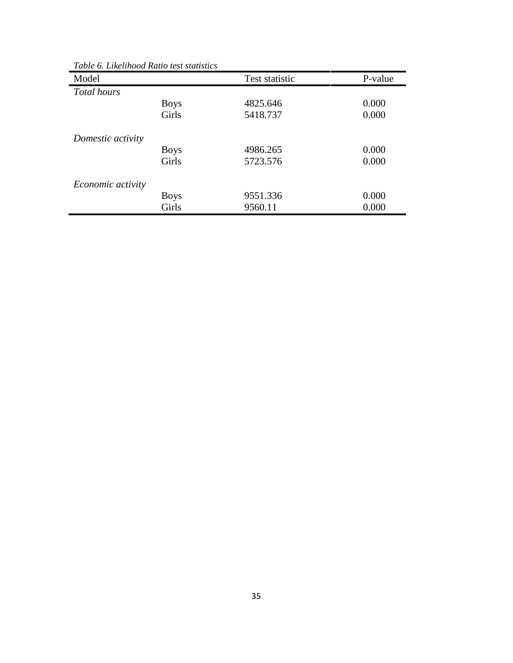| Model                    |             | Test statistic | P-value |
|--------------------------|-------------|----------------|---------|
| Total hours              |             |                |         |
|                          | <b>Boys</b> | 4825.646       | 0.000   |
|                          | Girls       | 5418.737       | 0.000   |
| Domestic activity        |             |                |         |
|                          | <b>Boys</b> | 4986.265       | 0.000   |
|                          | Girls       | 5723.576       | 0.000   |
| <i>Economic activity</i> |             |                |         |
|                          | <b>Boys</b> | 9551.336       | 0.000   |
|                          | Girls       | 9560.11        | 0.000   |

*Table 6. Likelihood Ratio test statistics*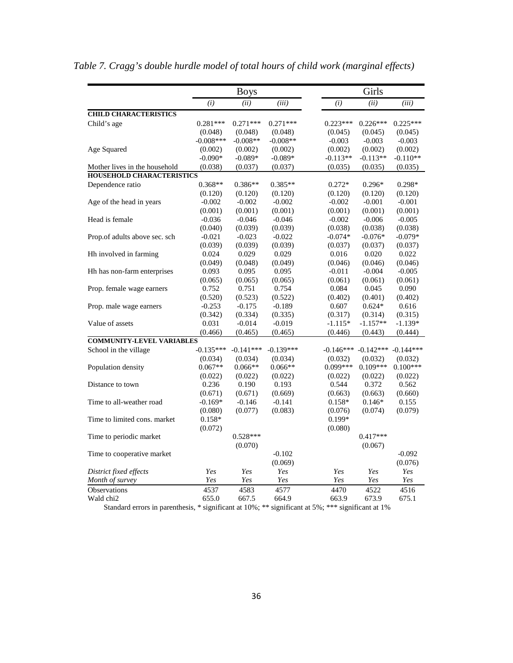|                                                                                                   |                  | <b>Boys</b>      |                  | Girls               |                         |                     |  |
|---------------------------------------------------------------------------------------------------|------------------|------------------|------------------|---------------------|-------------------------|---------------------|--|
|                                                                                                   | (i)              | (ii)             | (iii)            | (i)                 | (ii)                    | (iii)               |  |
| <b>CHILD CHARACTERISTICS</b>                                                                      |                  |                  |                  |                     |                         |                     |  |
| Child's age                                                                                       | $0.281***$       | $0.271***$       | $0.271***$       | $0.223***$          | $0.226***$              | $0.225***$          |  |
|                                                                                                   | (0.048)          | (0.048)          | (0.048)          | (0.045)             | (0.045)                 | (0.045)             |  |
|                                                                                                   | $-0.008***$      | $-0.008**$       | $-0.008**$       | $-0.003$            | $-0.003$                | $-0.003$            |  |
| Age Squared                                                                                       | (0.002)          | (0.002)          | (0.002)          | (0.002)             | (0.002)                 | (0.002)             |  |
|                                                                                                   | $-0.090*$        | $-0.089*$        | $-0.089*$        | $-0.113**$          | $-0.113**$              | $-0.110**$          |  |
| Mother lives in the household                                                                     | (0.038)          | (0.037)          | (0.037)          | (0.035)             | (0.035)                 | (0.035)             |  |
| <b>HOUSEHOLD CHARACTERISTICS</b>                                                                  |                  |                  |                  |                     |                         |                     |  |
| Dependence ratio                                                                                  | $0.368**$        | $0.386**$        | $0.385**$        | $0.272*$            | $0.296*$                | $0.298*$            |  |
|                                                                                                   | (0.120)          | (0.120)          | (0.120)          | (0.120)             | (0.120)                 | (0.120)             |  |
| Age of the head in years                                                                          | $-0.002$         | $-0.002$         | $-0.002$         | $-0.002$            | $-0.001$                | $-0.001$            |  |
|                                                                                                   | (0.001)          | (0.001)          | (0.001)          | (0.001)             | (0.001)                 | (0.001)             |  |
| Head is female                                                                                    | $-0.036$         | $-0.046$         | $-0.046$         | $-0.002$            | $-0.006$                | $-0.005$            |  |
|                                                                                                   | (0.040)          | (0.039)          | (0.039)          | (0.038)             | (0.038)                 | (0.038)             |  |
| Prop.of adults above sec. sch                                                                     | $-0.021$         | $-0.023$         | $-0.022$         | $-0.074*$           | $-0.076*$               | $-0.079*$           |  |
|                                                                                                   | (0.039)          | (0.039)          | (0.039)          | (0.037)             | (0.037)                 | (0.037)             |  |
| Hh involved in farming                                                                            | 0.024            | 0.029            | 0.029            | 0.016               | 0.020                   | 0.022               |  |
| Hh has non-farm enterprises                                                                       | (0.049)          | (0.048)          | (0.049)<br>0.095 | (0.046)<br>$-0.011$ | (0.046)                 | (0.046)<br>$-0.005$ |  |
|                                                                                                   | 0.093<br>(0.065) | 0.095<br>(0.065) | (0.065)          | (0.061)             | $-0.004$<br>(0.061)     | (0.061)             |  |
| Prop. female wage earners                                                                         | 0.752            | 0.751            | 0.754            | 0.084               | 0.045                   | 0.090               |  |
|                                                                                                   | (0.520)          | (0.523)          | (0.522)          | (0.402)             | (0.401)                 | (0.402)             |  |
| Prop. male wage earners                                                                           | $-0.253$         | $-0.175$         | $-0.189$         | 0.607               | $0.624*$                | 0.616               |  |
|                                                                                                   | (0.342)          | (0.334)          | (0.335)          | (0.317)             | (0.314)                 | (0.315)             |  |
| Value of assets                                                                                   | 0.031            | $-0.014$         | $-0.019$         | $-1.115*$           | $-1.157**$              | $-1.139*$           |  |
|                                                                                                   | (0.466)          | (0.465)          | (0.465)          | (0.446)             | (0.443)                 | (0.444)             |  |
| <b>COMMUNITY-LEVEL VARIABLES</b>                                                                  |                  |                  |                  |                     |                         |                     |  |
| School in the village                                                                             | $-0.135***$      | $-0.141***$      | $-0.139***$      |                     | $-0.146***$ $-0.142***$ | $-0.144***$         |  |
|                                                                                                   | (0.034)          | (0.034)          | (0.034)          | (0.032)             | (0.032)                 | (0.032)             |  |
| Population density                                                                                | $0.067**$        | $0.066**$        | $0.066**$        | $0.099***$          | $0.109***$              | $0.100***$          |  |
|                                                                                                   | (0.022)          | (0.022)          | (0.022)          | (0.022)             | (0.022)                 | (0.022)             |  |
| Distance to town                                                                                  | 0.236            | 0.190            | 0.193            | 0.544               | 0.372                   | 0.562               |  |
|                                                                                                   | (0.671)          | (0.671)          | (0.669)          | (0.663)             | (0.663)                 | (0.660)             |  |
| Time to all-weather road                                                                          | $-0.169*$        | $-0.146$         | $-0.141$         | $0.158*$            | $0.146*$                | 0.155               |  |
|                                                                                                   | (0.080)          | (0.077)          | (0.083)          | (0.076)             | (0.074)                 | (0.079)             |  |
| Time to limited cons. market                                                                      | $0.158*$         |                  |                  | $0.199*$            |                         |                     |  |
|                                                                                                   | (0.072)          |                  |                  | (0.080)             |                         |                     |  |
| Time to periodic market                                                                           |                  | $0.528***$       |                  |                     | $0.417***$              |                     |  |
|                                                                                                   |                  | (0.070)          |                  |                     | (0.067)                 |                     |  |
| Time to cooperative market                                                                        |                  |                  | $-0.102$         |                     |                         | $-0.092$            |  |
|                                                                                                   |                  |                  | (0.069)          |                     |                         | (0.076)             |  |
| District fixed effects                                                                            | Yes              | Yes              | Yes              | Yes                 | Yes                     | Yes                 |  |
| Month of survey                                                                                   | Yes              | Yes              | Yes              | Yes                 | Yes                     | Yes                 |  |
| <b>Observations</b>                                                                               | 4537             | 4583             | 4577             | 4470                | 4522                    | 4516                |  |
| Wald chi <sub>2</sub>                                                                             | 655.0            | 667.5            | 664.9            | 663.9               | 673.9                   | 675.1               |  |
| Standard errors in parenthesis, * significant at 10%; ** significant at 5%; *** significant at 1% |                  |                  |                  |                     |                         |                     |  |

*Table 7. Cragg's double hurdle model of total hours of child work (marginal effects)*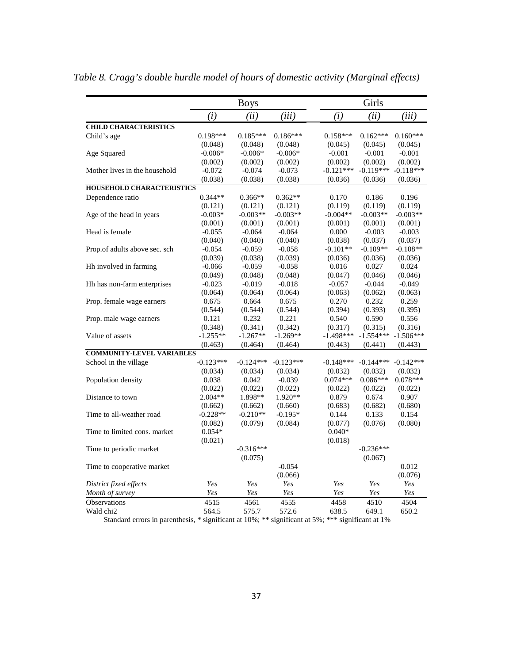|                                  |             | <b>Boys</b> |             |             | Girls       |             |
|----------------------------------|-------------|-------------|-------------|-------------|-------------|-------------|
|                                  | (i)         | (ii)        | (iii)       | (i)         | (ii)        | (iii)       |
| <b>CHILD CHARACTERISTICS</b>     |             |             |             |             |             |             |
| Child's age                      | $0.198***$  | $0.185***$  | $0.186***$  | $0.158***$  | $0.162***$  | $0.160***$  |
|                                  | (0.048)     | (0.048)     | (0.048)     | (0.045)     | (0.045)     | (0.045)     |
| Age Squared                      | $-0.006*$   | $-0.006*$   | $-0.006*$   | $-0.001$    | $-0.001$    | $-0.001$    |
|                                  | (0.002)     | (0.002)     | (0.002)     | (0.002)     | (0.002)     | (0.002)     |
| Mother lives in the household    | $-0.072$    | $-0.074$    | $-0.073$    | $-0.121***$ | $-0.119***$ | $-0.118***$ |
|                                  | (0.038)     | (0.038)     | (0.038)     | (0.036)     | (0.036)     | (0.036)     |
| <b>HOUSEHOLD CHARACTERISTICS</b> |             |             |             |             |             |             |
| Dependence ratio                 | $0.344**$   | $0.366**$   | $0.362**$   | 0.170       | 0.186       | 0.196       |
|                                  | (0.121)     | (0.121)     | (0.121)     | (0.119)     | (0.119)     | (0.119)     |
| Age of the head in years         | $-0.003*$   | $-0.003**$  | $-0.003**$  | $-0.004**$  | $-0.003**$  | $-0.003**$  |
|                                  | (0.001)     | (0.001)     | (0.001)     | (0.001)     | (0.001)     | (0.001)     |
| Head is female                   | $-0.055$    | $-0.064$    | $-0.064$    | 0.000       | $-0.003$    | $-0.003$    |
|                                  | (0.040)     | (0.040)     | (0.040)     | (0.038)     | (0.037)     | (0.037)     |
| Prop.of adults above sec. sch    | $-0.054$    | $-0.059$    | $-0.058$    | $-0.101**$  | $-0.109**$  | $-0.108**$  |
|                                  | (0.039)     | (0.038)     | (0.039)     | (0.036)     | (0.036)     | (0.036)     |
| Hh involved in farming           | $-0.066$    | $-0.059$    | $-0.058$    | 0.016       | 0.027       | 0.024       |
|                                  | (0.049)     | (0.048)     | (0.048)     | (0.047)     | (0.046)     | (0.046)     |
| Hh has non-farm enterprises      | $-0.023$    | $-0.019$    | $-0.018$    | $-0.057$    | $-0.044$    | $-0.049$    |
|                                  | (0.064)     | (0.064)     | (0.064)     | (0.063)     | (0.062)     | (0.063)     |
| Prop. female wage earners        | 0.675       | 0.664       | 0.675       | 0.270       | 0.232       | 0.259       |
|                                  | (0.544)     | (0.544)     | (0.544)     | (0.394)     | (0.393)     | (0.395)     |
| Prop. male wage earners          | 0.121       | 0.232       | 0.221       | 0.540       | 0.590       | 0.556       |
|                                  | (0.348)     | (0.341)     | (0.342)     | (0.317)     | (0.315)     | (0.316)     |
| Value of assets                  | $-1.255**$  | $-1.267**$  | $-1.269**$  | $-1.498***$ | $-1.554***$ | $-1.506***$ |
|                                  | (0.463)     | (0.464)     | (0.464)     | (0.443)     | (0.441)     | (0.443)     |
| <b>COMMUNITY-LEVEL VARIABLES</b> |             |             |             |             |             |             |
| School in the village            | $-0.123***$ | $-0.124***$ | $-0.123***$ | $-0.148***$ | $-0.144***$ | $-0.142***$ |
|                                  | (0.034)     | (0.034)     | (0.034)     | (0.032)     | (0.032)     | (0.032)     |
| Population density               | 0.038       | 0.042       | $-0.039$    | $0.074***$  | $0.086***$  | $0.078***$  |
|                                  | (0.022)     | (0.022)     | (0.022)     | (0.022)     | (0.022)     | (0.022)     |
| Distance to town                 | $2.004**$   | 1.898**     | 1.920**     | 0.879       | 0.674       | 0.907       |
|                                  | (0.662)     | (0.662)     | (0.660)     | (0.683)     | (0.682)     | (0.680)     |
| Time to all-weather road         | $-0.228**$  | $-0.210**$  | $-0.195*$   | 0.144       | 0.133       | 0.154       |
|                                  | (0.082)     | (0.079)     | (0.084)     | (0.077)     | (0.076)     | (0.080)     |
| Time to limited cons. market     | $0.054*$    |             |             | $0.040*$    |             |             |
|                                  | (0.021)     |             |             | (0.018)     |             |             |
| Time to periodic market          |             | $-0.316***$ |             |             | $-0.236***$ |             |
|                                  |             | (0.075)     |             |             | (0.067)     |             |
| Time to cooperative market       |             |             | $-0.054$    |             |             | 0.012       |
|                                  |             |             | (0.066)     |             |             | (0.076)     |
| District fixed effects           | Yes         | Yes         | Yes         | Yes         | Yes         | Yes         |
| Month of survey                  | Yes         | Yes         | Yes         | Yes         | Yes         | Yes         |
| Observations                     | 4515        | 4561        | 4555        | 4458        | 4510        | 4504        |
| Wald chi <sub>2</sub>            | 564.5       | 575.7       | 572.6       | 638.5       | 649.1       | 650.2       |
|                                  |             |             |             |             |             |             |

*Table 8. Cragg's double hurdle model of hours of domestic activity (Marginal effects)*

Standard errors in parenthesis, \* significant at 10%; \*\* significant at 5%; \*\*\* significant at 1%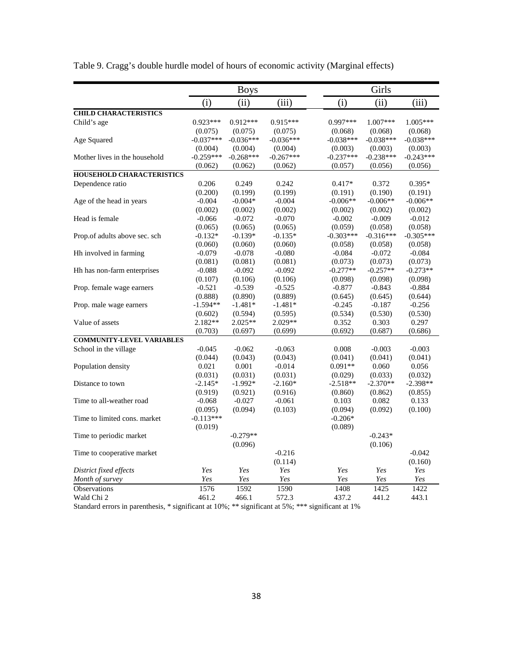|                                  |                  | <b>Boys</b>      |             |                       | Girls            |                       |
|----------------------------------|------------------|------------------|-------------|-----------------------|------------------|-----------------------|
|                                  | (i)              | (ii)             | (iii)       | (i)                   | (ii)             | (iii)                 |
| <b>CHILD CHARACTERISTICS</b>     |                  |                  |             |                       |                  |                       |
| Child's age                      | $0.923***$       | $0.912***$       | $0.915***$  | $0.997***$            | $1.007***$       | 1.005***              |
|                                  | (0.075)          | (0.075)          | (0.075)     | (0.068)               | (0.068)          | (0.068)               |
| Age Squared                      | $-0.037***$      | $-0.036***$      | $-0.036***$ | $-0.038***$           | $-0.038***$      | $-0.038***$           |
|                                  | (0.004)          | (0.004)          | (0.004)     | (0.003)               | (0.003)          | (0.003)               |
| Mother lives in the household    | $-0.259***$      | $-0.268***$      | $-0.267***$ | $-0.237***$           | $-0.238***$      | $-0.243***$           |
|                                  | (0.062)          | (0.062)          | (0.062)     | (0.057)               | (0.056)          | (0.056)               |
| <b>HOUSEHOLD CHARACTERISTICS</b> |                  |                  |             |                       |                  |                       |
| Dependence ratio                 | 0.206            | 0.249            | 0.242       | $0.417*$              | 0.372            | $0.395*$              |
|                                  | (0.200)          | (0.199)          | (0.199)     | (0.191)               | (0.190)          | (0.191)               |
| Age of the head in years         | $-0.004$         | $-0.004*$        | $-0.004$    | $-0.006**$            | $-0.006**$       | $-0.006**$            |
|                                  | (0.002)          | (0.002)          | (0.002)     | (0.002)               | (0.002)          | (0.002)               |
| Head is female                   | $-0.066$         | $-0.072$         | $-0.070$    | $-0.002$              | $-0.009$         | $-0.012$              |
|                                  | (0.065)          | (0.065)          | (0.065)     | (0.059)               | (0.058)          | (0.058)               |
| Prop.of adults above sec. sch    | $-0.132*$        | $-0.139*$        | $-0.135*$   | $-0.303***$           | $-0.316***$      | $-0.305***$           |
|                                  | (0.060)          | (0.060)          | (0.060)     | (0.058)               | (0.058)          | (0.058)               |
| Hh involved in farming           | $-0.079$         | $-0.078$         | $-0.080$    | $-0.084$              | $-0.072$         | $-0.084$              |
|                                  | (0.081)          | (0.081)          | (0.081)     | (0.073)               | (0.073)          | (0.073)               |
| Hh has non-farm enterprises      | $-0.088$         | $-0.092$         | $-0.092$    | $-0.277**$            | $-0.257**$       | $-0.273**$            |
|                                  | (0.107)          | (0.106)          | (0.106)     | (0.098)               | (0.098)          | (0.098)               |
| Prop. female wage earners        | $-0.521$         | $-0.539$         | $-0.525$    | $-0.877$              | $-0.843$         | $-0.884$              |
|                                  | (0.888)          | (0.890)          | (0.889)     | (0.645)               | (0.645)          | (0.644)               |
| Prop. male wage earners          | $-1.594**$       | $-1.481*$        | $-1.481*$   | $-0.245$              | $-0.187$         | $-0.256$              |
|                                  | (0.602)          | (0.594)          | (0.595)     | (0.534)               | (0.530)          | (0.530)               |
| Value of assets                  | $2.182**$        | $2.025**$        | $2.029**$   | 0.352                 | 0.303            | 0.297                 |
|                                  | (0.703)          | (0.697)          | (0.699)     | (0.692)               | (0.687)          | (0.686)               |
| <b>COMMUNITY-LEVEL VARIABLES</b> |                  |                  |             |                       |                  |                       |
| School in the village            | $-0.045$         | $-0.062$         | $-0.063$    | 0.008                 | $-0.003$         | $-0.003$              |
|                                  |                  |                  | (0.043)     | (0.041)               |                  |                       |
| Population density               | (0.044)<br>0.021 | (0.043)<br>0.001 | $-0.014$    | $0.091**$             | (0.041)<br>0.060 | (0.041)<br>0.056      |
|                                  | (0.031)          | (0.031)          | (0.031)     |                       | (0.033)          |                       |
| Distance to town                 | $-2.145*$        | $-1.992*$        | $-2.160*$   | (0.029)<br>$-2.518**$ | $-2.370**$       | (0.032)<br>$-2.398**$ |
|                                  |                  |                  |             |                       |                  |                       |
| Time to all-weather road         | (0.919)          | (0.921)          | (0.916)     | (0.860)               | (0.862)<br>0.082 | (0.855)               |
|                                  | $-0.068$         | $-0.027$         | $-0.061$    | 0.103                 |                  | 0.133                 |
|                                  | (0.095)          | (0.094)          | (0.103)     | (0.094)               | (0.092)          | (0.100)               |
| Time to limited cons. market     | $-0.113***$      |                  |             | $-0.206*$             |                  |                       |
|                                  | (0.019)          |                  |             | (0.089)               |                  |                       |
| Time to periodic market          |                  | $-0.279**$       |             |                       | $-0.243*$        |                       |
|                                  |                  | (0.096)          |             |                       | (0.106)          |                       |
| Time to cooperative market       |                  |                  | $-0.216$    |                       |                  | $-0.042$              |
|                                  |                  |                  | (0.114)     |                       |                  | (0.160)               |
| District fixed effects           | Yes              | Yes              | Yes         | Yes                   | Yes              | Yes                   |
| Month of survey                  | Yes              | Yes              | Yes         | Yes                   | Yes              | Yes                   |
| <b>Observations</b>              | 1576             | 1592             | 1590        | 1408                  | 1425             | 1422                  |
| Wald Chi 2                       | 461.2            | 466.1            | 572.3       | 437.2                 | 441.2            | 443.1                 |

Table 9. Cragg's double hurdle model of hours of economic activity (Marginal effects)

Standard errors in parenthesis, \* significant at 10%; \*\* significant at 5%; \*\*\* significant at 1%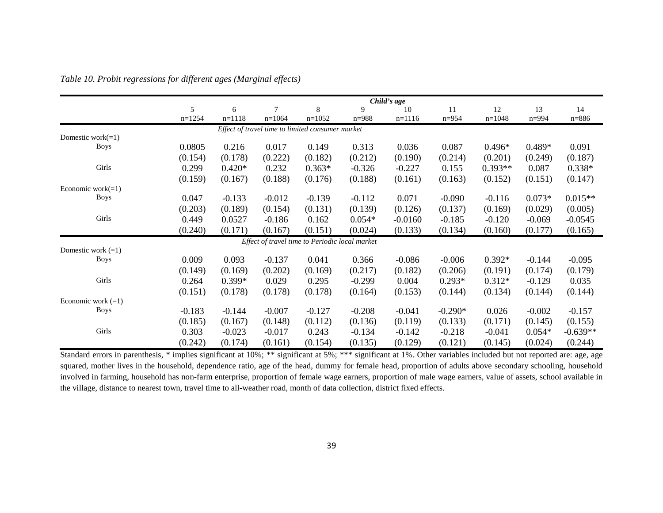|                      |          |          |          |                                                  |           | Child's age |           |           |           |            |
|----------------------|----------|----------|----------|--------------------------------------------------|-----------|-------------|-----------|-----------|-----------|------------|
|                      | 5        | 6        |          | 8                                                | 9         | 10          | 11        | 12        | 13        | 14         |
|                      | $n=1254$ | $n=1118$ | $n=1064$ | $n=1052$                                         | $n = 988$ | $n=1116$    | $n = 954$ | $n=1048$  | $n = 994$ | $n = 886$  |
|                      |          |          |          | Effect of travel time to limited consumer market |           |             |           |           |           |            |
| Domestic work $(=1)$ |          |          |          |                                                  |           |             |           |           |           |            |
| <b>Boys</b>          | 0.0805   | 0.216    | 0.017    | 0.149                                            | 0.313     | 0.036       | 0.087     | $0.496*$  | $0.489*$  | 0.091      |
|                      | (0.154)  | (0.178)  | (0.222)  | (0.182)                                          | (0.212)   | (0.190)     | (0.214)   | (0.201)   | (0.249)   | (0.187)    |
| Girls                | 0.299    | $0.420*$ | 0.232    | $0.363*$                                         | $-0.326$  | $-0.227$    | 0.155     | $0.393**$ | 0.087     | $0.338*$   |
|                      | (0.159)  | (0.167)  | (0.188)  | (0.176)                                          | (0.188)   | (0.161)     | (0.163)   | (0.152)   | (0.151)   | (0.147)    |
| Economic work $(=1)$ |          |          |          |                                                  |           |             |           |           |           |            |
| <b>Boys</b>          | 0.047    | $-0.133$ | $-0.012$ | $-0.139$                                         | $-0.112$  | 0.071       | $-0.090$  | $-0.116$  | $0.073*$  | $0.015**$  |
|                      | (0.203)  | (0.189)  | (0.154)  | (0.131)                                          | (0.139)   | (0.126)     | (0.137)   | (0.169)   | (0.029)   | (0.005)    |
| Girls                | 0.449    | 0.0527   | $-0.186$ | 0.162                                            | $0.054*$  | $-0.0160$   | $-0.185$  | $-0.120$  | $-0.069$  | $-0.0545$  |
|                      | (0.240)  | (0.171)  | (0.167)  | (0.151)                                          | (0.024)   | (0.133)     | (0.134)   | (0.160)   | (0.177)   | (0.165)    |
|                      |          |          |          | Effect of travel time to Periodic local market   |           |             |           |           |           |            |
| Domestic work $(=1)$ |          |          |          |                                                  |           |             |           |           |           |            |
| <b>Boys</b>          | 0.009    | 0.093    | $-0.137$ | 0.041                                            | 0.366     | $-0.086$    | $-0.006$  | $0.392*$  | $-0.144$  | $-0.095$   |
|                      | (0.149)  | (0.169)  | (0.202)  | (0.169)                                          | (0.217)   | (0.182)     | (0.206)   | (0.191)   | (0.174)   | (0.179)    |
| Girls                | 0.264    | $0.399*$ | 0.029    | 0.295                                            | $-0.299$  | 0.004       | $0.293*$  | $0.312*$  | $-0.129$  | 0.035      |
|                      | (0.151)  | (0.178)  | (0.178)  | (0.178)                                          | (0.164)   | (0.153)     | (0.144)   | (0.134)   | (0.144)   | (0.144)    |
| Economic work $(=1)$ |          |          |          |                                                  |           |             |           |           |           |            |
| <b>Boys</b>          | $-0.183$ | $-0.144$ | $-0.007$ | $-0.127$                                         | $-0.208$  | $-0.041$    | $-0.290*$ | 0.026     | $-0.002$  | $-0.157$   |
|                      | (0.185)  | (0.167)  | (0.148)  | (0.112)                                          | (0.136)   | (0.119)     | (0.133)   | (0.171)   | (0.145)   | (0.155)    |
| Girls                | 0.303    | $-0.023$ | $-0.017$ | 0.243                                            | $-0.134$  | $-0.142$    | $-0.218$  | $-0.041$  | $0.054*$  | $-0.639**$ |
|                      | (0.242)  | (0.174)  | (0.161)  | (0.154)                                          | (0.135)   | (0.129)     | (0.121)   | (0.145)   | (0.024)   | (0.244)    |

*Table 10. Probit regressions for different ages (Marginal effects)*

Standard errors in parenthesis, \* implies significant at 10%; \*\* significant at 5%; \*\*\* significant at 1%. Other variables included but not reported are: age, age squared, mother lives in the household, dependence ratio, age of the head, dummy for female head, proportion of adults above secondary schooling, household involved in farming, household has non-farm enterprise, proportion of female wage earners, proportion of male wage earners, value of assets, school available in the village, distance to nearest town, travel time to all-weather road, month of data collection, district fixed effects.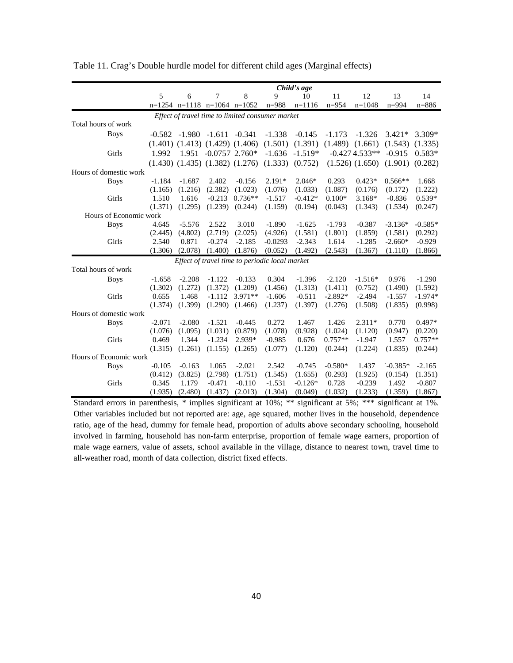|                        |          |                   |                                         |           |                                                  | Child's age |           |                     |           |           |
|------------------------|----------|-------------------|-----------------------------------------|-----------|--------------------------------------------------|-------------|-----------|---------------------|-----------|-----------|
|                        | 5        | 6                 | 7                                       | 8         | $\mathbf Q$                                      | 10          | 11        | 12                  | 13        | 14        |
|                        |          |                   | $n=1254$ $n=1118$ $n=1064$ $n=1052$     |           | $n = 988$                                        | $n=1116$    | $n = 954$ | $n=1048$            | $n = 994$ | $n = 886$ |
|                        |          |                   |                                         |           | Effect of travel time to limited consumer market |             |           |                     |           |           |
| Total hours of work    |          |                   |                                         |           |                                                  |             |           |                     |           |           |
| <b>Boys</b>            | $-0.582$ | $-1.980$ $-1.611$ |                                         | $-0.341$  | $-1.338$                                         | $-0.145$    | $-1.173$  | $-1.326$            | $3.421*$  | $3.309*$  |
|                        |          |                   | $(1.401)$ $(1.413)$ $(1.429)$ $(1.406)$ |           | (1.501)                                          | (1.391)     | (1.489)   | (1.661)             | (1.543)   | (1.335)   |
| Girls                  | 1.992    |                   | $1.951 - 0.0757$ 2.760*                 |           | $-1.636$                                         | $-1.519*$   |           | $-0.4274.533**$     | $-0.915$  | $0.583*$  |
|                        |          |                   | $(1.430)$ $(1.435)$ $(1.382)$ $(1.276)$ |           | (1.333)                                          | (0.752)     |           | $(1.526)$ $(1.650)$ | (1.901)   | (0.282)   |
| Hours of domestic work |          |                   |                                         |           |                                                  |             |           |                     |           |           |
| <b>Boys</b>            | $-1.184$ | $-1.687$          | 2.402                                   | $-0.156$  | $2.191*$                                         | $2.046*$    | 0.293     | $0.423*$            | $0.566**$ | 1.668     |
|                        | (1.165)  | (1.216)           | (2.382)                                 | (1.023)   | (1.076)                                          | (1.033)     | (1.087)   | (0.176)             | (0.172)   | (1.222)   |
| Girls                  | 1.510    | 1.616             | $-0.213$                                | $0.736**$ | $-1.517$                                         | $-0.412*$   | $0.100*$  | $3.168*$            | $-0.836$  | $0.539*$  |
|                        | (1.371)  | (1.295)           | (1.239)                                 | (0.244)   | (1.159)                                          | (0.194)     | (0.043)   | (1.343)             | (1.534)   | (0.247)   |
| Hours of Economic work |          |                   |                                         |           |                                                  |             |           |                     |           |           |
| <b>Boys</b>            | 4.645    | $-5.576$          | 2.522                                   | 3.010     | $-1.890$                                         | $-1.625$    | $-1.793$  | $-0.387$            | $-3.136*$ | $-0.585*$ |
|                        | (2.445)  | (4.802)           | (2.719)                                 | (2.025)   | (4.926)                                          | (1.581)     | (1.801)   | (1.859)             | (1.581)   | (0.292)   |
| Girls                  | 2.540    | 0.871             | $-0.274$                                | $-2.185$  | $-0.0293$                                        | $-2.343$    | 1.614     | $-1.285$            | $-2.660*$ | $-0.929$  |
|                        | (1.306)  | (2.078)           | (1.400)                                 | (1.876)   | (0.052)                                          | (1.492)     | (2.543)   | (1.367)             | (1.110)   | (1.866)   |
|                        |          |                   |                                         |           | Effect of travel time to periodic local market   |             |           |                     |           |           |
| Total hours of work    |          |                   |                                         |           |                                                  |             |           |                     |           |           |
| <b>Boys</b>            | $-1.658$ | $-2.208$          | $-1.122$                                | $-0.133$  | 0.304                                            | $-1.396$    | $-2.120$  | $-1.516*$           | 0.976     | $-1.290$  |
|                        | (1.302)  | (1.272)           | (1.372)                                 | (1.209)   | (1.456)                                          | (1.313)     | (1.411)   | (0.752)             | (1.490)   | (1.592)   |
| Girls                  | 0.655    | 1.468             | $-1.112$                                | $3.971**$ | $-1.606$                                         | $-0.511$    | $-2.892*$ | $-2.494$            | $-1.557$  | $-1.974*$ |
|                        | (1.374)  | (1.399)           | (1.290)                                 | (1.466)   | (1.237)                                          | (1.397)     | (1.276)   | (1.508)             | (1.835)   | (0.998)   |
| Hours of domestic work |          |                   |                                         |           |                                                  |             |           |                     |           |           |
| <b>Boys</b>            | $-2.071$ | $-2.080$          | $-1.521$                                | $-0.445$  | 0.272                                            | 1.467       | 1.426     | $2.311*$            | 0.770     | $0.497*$  |
|                        | (1.076)  | (1.095)           | (1.031)                                 | (0.879)   | (1.078)                                          | (0.928)     | (1.024)   | (1.120)             | (0.947)   | (0.220)   |
| Girls                  | 0.469    | 1.344             | $-1.234$                                | 2.939*    | $-0.985$                                         | 0.676       | $0.757**$ | $-1.947$            | 1.557     | $0.757**$ |
|                        | (1.315)  | (1.261)           | (1.155)                                 | (1.265)   | (1.077)                                          | (1.120)     | (0.244)   | (1.224)             | (1.835)   | (0.244)   |
| Hours of Economic work |          |                   |                                         |           |                                                  |             |           |                     |           |           |
| <b>Boys</b>            | $-0.105$ | $-0.163$          | 1.065                                   | $-2.021$  | 2.542                                            | $-0.745$    | $-0.580*$ | 1.437               | $-0.385*$ | $-2.165$  |
|                        | (0.412)  | (3.825)           | (2.798)                                 | (1.751)   | (1.545)                                          | (1.655)     | (0.293)   | (1.925)             | (0.154)   | (1.351)   |
| Girls                  | 0.345    | 1.179             | $-0.471$                                | $-0.110$  | $-1.531$                                         | $-0.126*$   | 0.728     | $-0.239$            | 1.492     | $-0.807$  |
|                        | (1.935)  | (2.480)           | (1.437)                                 | (2.013)   | (1.304)                                          | (0.049)     | (1.032)   | (1.233)             | (1.359)   | (1.867)   |

Table 11. Crag's Double hurdle model for different child ages (Marginal effects)

Standard errors in parenthesis, \* implies significant at 10%; \*\* significant at 5%; \*\*\* significant at 1%. Other variables included but not reported are: age, age squared, mother lives in the household, dependence ratio, age of the head, dummy for female head, proportion of adults above secondary schooling, household involved in farming, household has non-farm enterprise, proportion of female wage earners, proportion of male wage earners, value of assets, school available in the village, distance to nearest town, travel time to all-weather road, month of data collection, district fixed effects.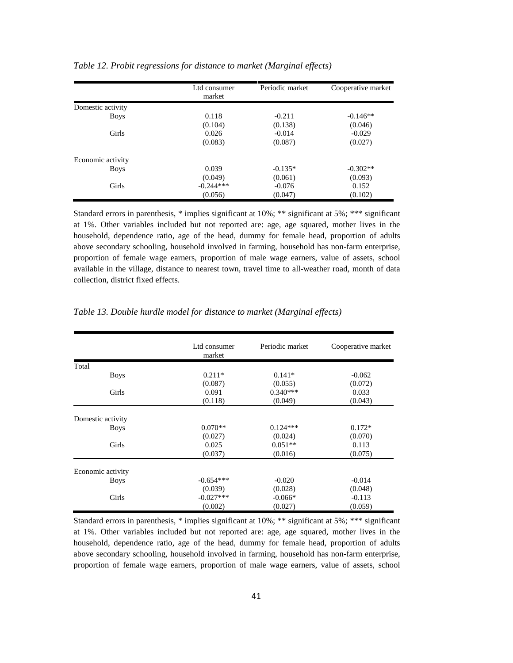|                   | Ltd consumer<br>market | Periodic market | Cooperative market |
|-------------------|------------------------|-----------------|--------------------|
| Domestic activity |                        |                 |                    |
| <b>Boys</b>       | 0.118                  | $-0.211$        | $-0.146**$         |
|                   | (0.104)                | (0.138)         | (0.046)            |
| Girls             | 0.026                  | $-0.014$        | $-0.029$           |
|                   | (0.083)                | (0.087)         | (0.027)            |
| Economic activity |                        |                 |                    |
| <b>Boys</b>       | 0.039                  | $-0.135*$       | $-0.302**$         |
|                   | (0.049)                | (0.061)         | (0.093)            |
| Girls             | $-0.244***$            | $-0.076$        | 0.152              |
|                   | (0.056)                | (0.047)         | (0.102)            |

*Table 12. Probit regressions for distance to market (Marginal effects)*

Standard errors in parenthesis, \* implies significant at 10%; \*\* significant at 5%; \*\*\* significant at 1%. Other variables included but not reported are: age, age squared, mother lives in the household, dependence ratio, age of the head, dummy for female head, proportion of adults above secondary schooling, household involved in farming, household has non-farm enterprise, proportion of female wage earners, proportion of male wage earners, value of assets, school available in the village, distance to nearest town, travel time to all-weather road, month of data collection, district fixed effects.

|                   | Ltd consumer<br>market | Periodic market | Cooperative market |
|-------------------|------------------------|-----------------|--------------------|
| Total             |                        |                 |                    |
| <b>Boys</b>       | $0.211*$               | $0.141*$        | $-0.062$           |
|                   | (0.087)                | (0.055)         | (0.072)            |
| Girls             | 0.091                  | $0.340***$      | 0.033              |
|                   | (0.118)                | (0.049)         | (0.043)            |
| Domestic activity |                        |                 |                    |
| <b>Boys</b>       | $0.070**$              | $0.124***$      | $0.172*$           |
|                   | (0.027)                | (0.024)         | (0.070)            |
| Girls             | 0.025                  | $0.051**$       | 0.113              |
|                   | (0.037)                | (0.016)         | (0.075)            |
| Economic activity |                        |                 |                    |
| <b>Boys</b>       | $-0.654***$            | $-0.020$        | $-0.014$           |
|                   | (0.039)                | (0.028)         | (0.048)            |
| Girls             | $-0.027***$            | $-0.066*$       | $-0.113$           |
|                   | (0.002)                | (0.027)         | (0.059)            |

*Table 13. Double hurdle model for distance to market (Marginal effects)*

Standard errors in parenthesis, \* implies significant at 10%; \*\* significant at 5%; \*\*\* significant at 1%. Other variables included but not reported are: age, age squared, mother lives in the household, dependence ratio, age of the head, dummy for female head, proportion of adults above secondary schooling, household involved in farming, household has non-farm enterprise, proportion of female wage earners, proportion of male wage earners, value of assets, school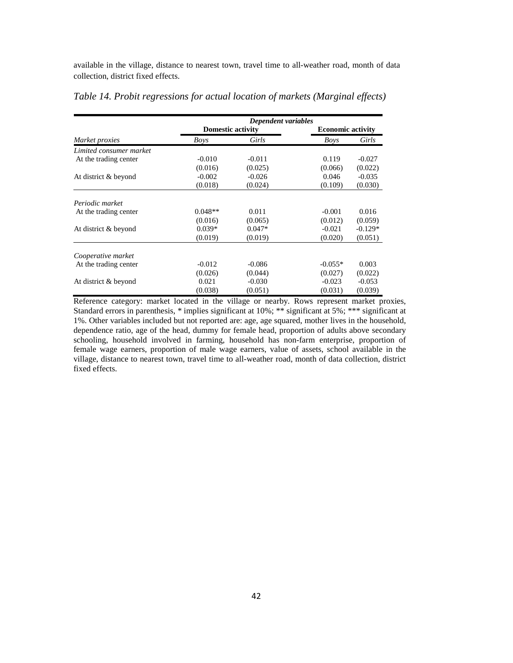available in the village, distance to nearest town, travel time to all-weather road, month of data collection, district fixed effects.

|                         |                          | Dependent variables |                          |           |
|-------------------------|--------------------------|---------------------|--------------------------|-----------|
|                         | <b>Domestic activity</b> |                     | <b>Economic activity</b> |           |
| Market proxies          | Boys                     | Girls               | <b>Boys</b>              | Girls     |
| Limited consumer market |                          |                     |                          |           |
| At the trading center   | $-0.010$                 | $-0.011$            | 0.119                    | $-0.027$  |
|                         | (0.016)                  | (0.025)             | (0.066)                  | (0.022)   |
| At district & beyond    | $-0.002$                 | $-0.026$            | 0.046                    | $-0.035$  |
|                         | (0.018)                  | (0.024)             | (0.109)                  | (0.030)   |
| Periodic market         |                          |                     |                          |           |
| At the trading center   | $0.048**$                | 0.011               | $-0.001$                 | 0.016     |
|                         | (0.016)                  | (0.065)             | (0.012)                  | (0.059)   |
| At district & beyond    | $0.039*$                 | $0.047*$            | $-0.021$                 | $-0.129*$ |
|                         | (0.019)                  | (0.019)             | (0.020)                  | (0.051)   |
| Cooperative market      |                          |                     |                          |           |
| At the trading center   | $-0.012$                 | $-0.086$            | $-0.055*$                | 0.003     |
|                         | (0.026)                  | (0.044)             | (0.027)                  | (0.022)   |
| At district & beyond    | 0.021                    | $-0.030$            | $-0.023$                 | $-0.053$  |
|                         | (0.038)                  | (0.051)             | (0.031)                  | (0.039)   |

*Table 14. Probit regressions for actual location of markets (Marginal effects)*

Reference category: market located in the village or nearby. Rows represent market proxies, Standard errors in parenthesis, \* implies significant at 10%; \*\* significant at 5%; \*\*\* significant at 1%. Other variables included but not reported are: age, age squared, mother lives in the household, dependence ratio, age of the head, dummy for female head, proportion of adults above secondary schooling, household involved in farming, household has non-farm enterprise, proportion of female wage earners, proportion of male wage earners, value of assets, school available in the village, distance to nearest town, travel time to all-weather road, month of data collection, district fixed effects.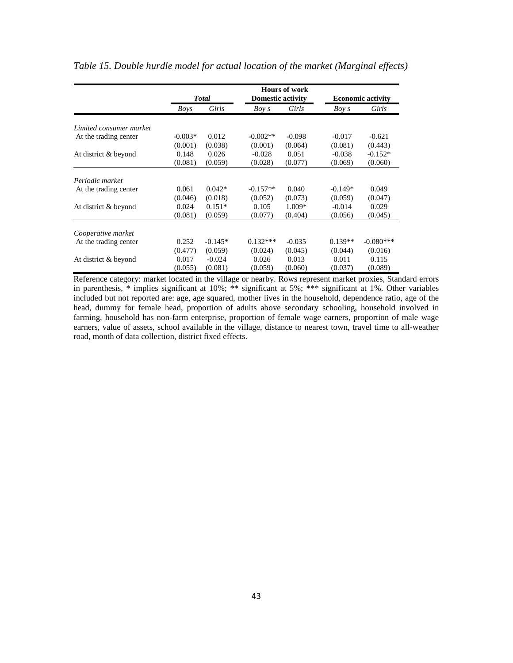|                         | <b>Total</b> |           | <b>Hours of work</b><br><b>Domestic activity</b> |          | <b>Economic activity</b> |             |
|-------------------------|--------------|-----------|--------------------------------------------------|----------|--------------------------|-------------|
|                         |              |           |                                                  |          |                          |             |
|                         | Boys         | Girls     | Boy s                                            | Girls    | Boy s                    | Girls       |
| Limited consumer market |              |           |                                                  |          |                          |             |
| At the trading center   | $-0.003*$    | 0.012     | $-0.002**$                                       | $-0.098$ | $-0.017$                 | $-0.621$    |
|                         | (0.001)      | (0.038)   | (0.001)                                          | (0.064)  | (0.081)                  | (0.443)     |
| At district & beyond    | 0.148        | 0.026     | $-0.028$                                         | 0.051    | $-0.038$                 | $-0.152*$   |
|                         | (0.081)      | (0.059)   | (0.028)                                          | (0.077)  | (0.069)                  | (0.060)     |
| Periodic market         |              |           |                                                  |          |                          |             |
| At the trading center   | 0.061        | $0.042*$  | $-0.157**$                                       | 0.040    | $-0.149*$                | 0.049       |
|                         | (0.046)      | (0.018)   | (0.052)                                          | (0.073)  | (0.059)                  | (0.047)     |
| At district & beyond    | 0.024        | $0.151*$  | 0.105                                            | 1.009*   | $-0.014$                 | 0.029       |
|                         | (0.081)      | (0.059)   | (0.077)                                          | (0.404)  | (0.056)                  | (0.045)     |
| Cooperative market      |              |           |                                                  |          |                          |             |
| At the trading center   | 0.252        | $-0.145*$ | $0.132***$                                       | $-0.035$ | $0.139**$                | $-0.080***$ |
|                         | (0.477)      | (0.059)   | (0.024)                                          | (0.045)  | (0.044)                  | (0.016)     |
| At district & beyond    | 0.017        | $-0.024$  | 0.026                                            | 0.013    | 0.011                    | 0.115       |
|                         | (0.055)      | (0.081)   | (0.059)                                          | (0.060)  | (0.037)                  | (0.089)     |

*Table 15. Double hurdle model for actual location of the market (Marginal effects)*

Reference category: market located in the village or nearby. Rows represent market proxies, Standard errors in parenthesis, \* implies significant at 10%; \*\* significant at 5%; \*\*\* significant at 1%. Other variables included but not reported are: age, age squared, mother lives in the household, dependence ratio, age of the head, dummy for female head, proportion of adults above secondary schooling, household involved in farming, household has non-farm enterprise, proportion of female wage earners, proportion of male wage earners, value of assets, school available in the village, distance to nearest town, travel time to all-weather road, month of data collection, district fixed effects.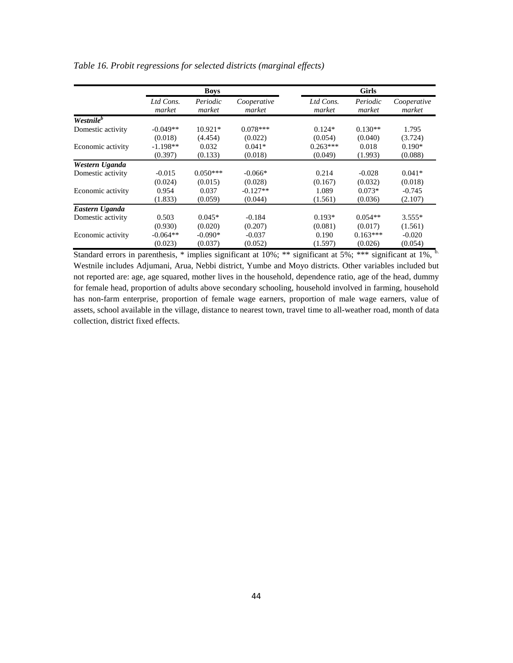|                       | <b>Boys</b>         |                    |                       | <b>Girls</b>        |                    |                       |  |
|-----------------------|---------------------|--------------------|-----------------------|---------------------|--------------------|-----------------------|--|
|                       | Ltd Cons.<br>market | Periodic<br>market | Cooperative<br>market | Ltd Cons.<br>market | Periodic<br>market | Cooperative<br>market |  |
| Westnile <sup>b</sup> |                     |                    |                       |                     |                    |                       |  |
| Domestic activity     | $-0.049**$          | $10.921*$          | $0.078***$            | $0.124*$            | $0.130**$          | 1.795                 |  |
|                       | (0.018)             | (4.454)            | (0.022)               | (0.054)             | (0.040)            | (3.724)               |  |
| Economic activity     | $-1.198**$          | 0.032              | $0.041*$              | $0.263***$          | 0.018              | $0.190*$              |  |
|                       | (0.397)             | (0.133)            | (0.018)               | (0.049)             | (1.993)            | (0.088)               |  |
| Western Uganda        |                     |                    |                       |                     |                    |                       |  |
| Domestic activity     | $-0.015$            | $0.050***$         | $-0.066*$             | 0.214               | $-0.028$           | $0.041*$              |  |
|                       | (0.024)             | (0.015)            | (0.028)               | (0.167)             | (0.032)            | (0.018)               |  |
| Economic activity     | 0.954               | 0.037              | $-0.127**$            | 1.089               | $0.073*$           | $-0.745$              |  |
|                       | (1.833)             | (0.059)            | (0.044)               | (1.561)             | (0.036)            | (2.107)               |  |
| Eastern Uganda        |                     |                    |                       |                     |                    |                       |  |
| Domestic activity     | 0.503               | $0.045*$           | $-0.184$              | $0.193*$            | $0.054**$          | $3.555*$              |  |
|                       | (0.930)             | (0.020)            | (0.207)               | (0.081)             | (0.017)            | (1.561)               |  |
| Economic activity     | $-0.064**$          | $-0.090*$          | $-0.037$              | 0.190               | $0.163***$         | $-0.020$              |  |
|                       | (0.023)             | (0.037)            | (0.052)               | (1.597)             | (0.026)            | (0.054)               |  |

*Table 16. Probit regressions for selected districts (marginal effects)*

Standard errors in parenthesis, \* implies significant at 10%; \*\* significant at 5%; \*\*\* significant at 1%,  $<sup>b</sup>$ .</sup> Westnile includes Adjumani, Arua, Nebbi district, Yumbe and Moyo districts. Other variables included but not reported are: age, age squared, mother lives in the household, dependence ratio, age of the head, dummy for female head, proportion of adults above secondary schooling, household involved in farming, household has non-farm enterprise, proportion of female wage earners, proportion of male wage earners, value of assets, school available in the village, distance to nearest town, travel time to all-weather road, month of data collection, district fixed effects.